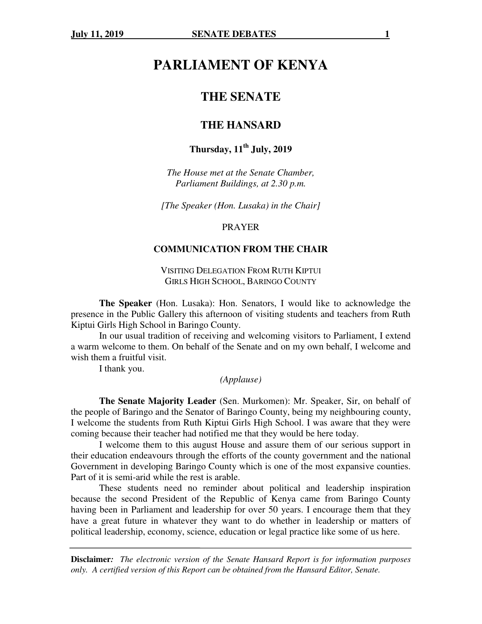# **PARLIAMENT OF KENYA**

## **THE SENATE**

## **THE HANSARD**

## **Thursday, 11th July, 2019**

*The House met at the Senate Chamber, Parliament Buildings, at 2.30 p.m.* 

*[The Speaker (Hon. Lusaka) in the Chair]* 

PRAYER

#### **COMMUNICATION FROM THE CHAIR**

VISITING DELEGATION FROM RUTH KIPTUI GIRLS HIGH SCHOOL, BARINGO COUNTY

**The Speaker** (Hon. Lusaka): Hon. Senators, I would like to acknowledge the presence in the Public Gallery this afternoon of visiting students and teachers from Ruth Kiptui Girls High School in Baringo County.

In our usual tradition of receiving and welcoming visitors to Parliament, I extend a warm welcome to them. On behalf of the Senate and on my own behalf, I welcome and wish them a fruitful visit.

I thank you.

#### *(Applause)*

**The Senate Majority Leader** (Sen. Murkomen): Mr. Speaker, Sir, on behalf of the people of Baringo and the Senator of Baringo County, being my neighbouring county, I welcome the students from Ruth Kiptui Girls High School. I was aware that they were coming because their teacher had notified me that they would be here today.

 I welcome them to this august House and assure them of our serious support in their education endeavours through the efforts of the county government and the national Government in developing Baringo County which is one of the most expansive counties. Part of it is semi-arid while the rest is arable.

 These students need no reminder about political and leadership inspiration because the second President of the Republic of Kenya came from Baringo County having been in Parliament and leadership for over 50 years. I encourage them that they have a great future in whatever they want to do whether in leadership or matters of political leadership, economy, science, education or legal practice like some of us here.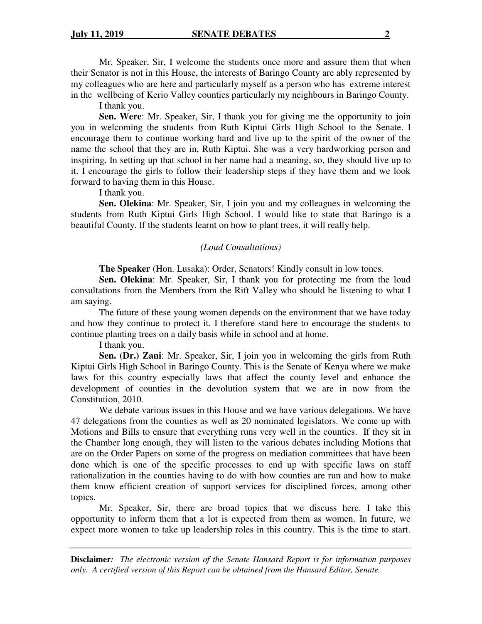Mr. Speaker, Sir, I welcome the students once more and assure them that when their Senator is not in this House, the interests of Baringo County are ably represented by my colleagues who are here and particularly myself as a person who has extreme interest in the wellbeing of Kerio Valley counties particularly my neighbours in Baringo County.

I thank you.

**Sen. Were**: Mr. Speaker, Sir, I thank you for giving me the opportunity to join you in welcoming the students from Ruth Kiptui Girls High School to the Senate. I encourage them to continue working hard and live up to the spirit of the owner of the name the school that they are in, Ruth Kiptui. She was a very hardworking person and inspiring. In setting up that school in her name had a meaning, so, they should live up to it. I encourage the girls to follow their leadership steps if they have them and we look forward to having them in this House.

I thank you.

**Sen. Olekina**: Mr. Speaker, Sir, I join you and my colleagues in welcoming the students from Ruth Kiptui Girls High School. I would like to state that Baringo is a beautiful County. If the students learnt on how to plant trees, it will really help.

#### *(Loud Consultations)*

**The Speaker** (Hon. Lusaka): Order, Senators! Kindly consult in low tones.

**Sen. Olekina**: Mr. Speaker, Sir, I thank you for protecting me from the loud consultations from the Members from the Rift Valley who should be listening to what I am saying.

The future of these young women depends on the environment that we have today and how they continue to protect it. I therefore stand here to encourage the students to continue planting trees on a daily basis while in school and at home.

I thank you.

**Sen. (Dr.) Zani**: Mr. Speaker, Sir, I join you in welcoming the girls from Ruth Kiptui Girls High School in Baringo County. This is the Senate of Kenya where we make laws for this country especially laws that affect the county level and enhance the development of counties in the devolution system that we are in now from the Constitution, 2010.

We debate various issues in this House and we have various delegations. We have 47 delegations from the counties as well as 20 nominated legislators. We come up with Motions and Bills to ensure that everything runs very well in the counties. If they sit in the Chamber long enough, they will listen to the various debates including Motions that are on the Order Papers on some of the progress on mediation committees that have been done which is one of the specific processes to end up with specific laws on staff rationalization in the counties having to do with how counties are run and how to make them know efficient creation of support services for disciplined forces, among other topics.

Mr. Speaker, Sir, there are broad topics that we discuss here. I take this opportunity to inform them that a lot is expected from them as women. In future, we expect more women to take up leadership roles in this country. This is the time to start.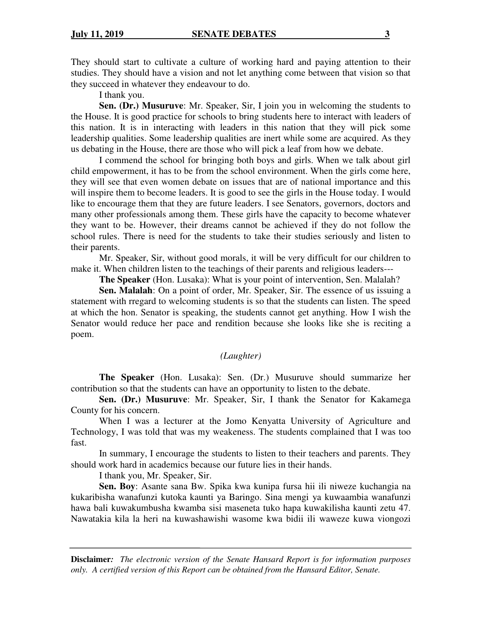They should start to cultivate a culture of working hard and paying attention to their studies. They should have a vision and not let anything come between that vision so that they succeed in whatever they endeavour to do.

I thank you.

**Sen. (Dr.) Musuruve**: Mr. Speaker, Sir, I join you in welcoming the students to the House. It is good practice for schools to bring students here to interact with leaders of this nation. It is in interacting with leaders in this nation that they will pick some leadership qualities. Some leadership qualities are inert while some are acquired. As they us debating in the House, there are those who will pick a leaf from how we debate.

I commend the school for bringing both boys and girls. When we talk about girl child empowerment, it has to be from the school environment. When the girls come here, they will see that even women debate on issues that are of national importance and this will inspire them to become leaders. It is good to see the girls in the House today. I would like to encourage them that they are future leaders. I see Senators, governors, doctors and many other professionals among them. These girls have the capacity to become whatever they want to be. However, their dreams cannot be achieved if they do not follow the school rules. There is need for the students to take their studies seriously and listen to their parents.

Mr. Speaker, Sir, without good morals, it will be very difficult for our children to make it. When children listen to the teachings of their parents and religious leaders---

**The Speaker** (Hon. Lusaka): What is your point of intervention, Sen. Malalah?

**Sen. Malalah**: On a point of order, Mr. Speaker, Sir. The essence of us issuing a statement with rregard to welcoming students is so that the students can listen. The speed at which the hon. Senator is speaking, the students cannot get anything. How I wish the Senator would reduce her pace and rendition because she looks like she is reciting a poem.

#### *(Laughter)*

**The Speaker** (Hon. Lusaka): Sen. (Dr.) Musuruve should summarize her contribution so that the students can have an opportunity to listen to the debate.

**Sen. (Dr.) Musuruve**: Mr. Speaker, Sir, I thank the Senator for Kakamega County for his concern.

When I was a lecturer at the Jomo Kenyatta University of Agriculture and Technology, I was told that was my weakeness. The students complained that I was too fast.

 In summary, I encourage the students to listen to their teachers and parents. They should work hard in academics because our future lies in their hands.

I thank you, Mr. Speaker, Sir.

**Sen. Boy**: Asante sana Bw. Spika kwa kunipa fursa hii ili niweze kuchangia na kukaribisha wanafunzi kutoka kaunti ya Baringo. Sina mengi ya kuwaambia wanafunzi hawa bali kuwakumbusha kwamba sisi maseneta tuko hapa kuwakilisha kaunti zetu 47. Nawatakia kila la heri na kuwashawishi wasome kwa bidii ili waweze kuwa viongozi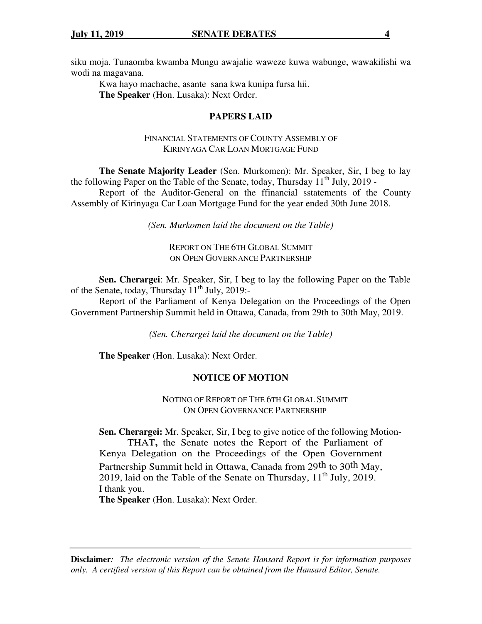siku moja. Tunaomba kwamba Mungu awajalie waweze kuwa wabunge, wawakilishi wa wodi na magavana.

 Kwa hayo machache, asante sana kwa kunipa fursa hii. **The Speaker** (Hon. Lusaka): Next Order.

## **PAPERS LAID**

## FINANCIAL STATEMENTS OF COUNTY ASSEMBLY OF KIRINYAGA CAR LOAN MORTGAGE FUND

 **The Senate Majority Leader** (Sen. Murkomen): Mr. Speaker, Sir, I beg to lay the following Paper on the Table of the Senate, today, Thursday  $11^{th}$  July, 2019 - Report of the Auditor-General on the ffinancial sstatements of the County Assembly of Kirinyaga Car Loan Mortgage Fund for the year ended 30th June 2018.

*(Sen. Murkomen laid the document on the Table)* 

REPORT ON THE 6TH GLOBAL SUMMIT ON OPEN GOVERNANCE PARTNERSHIP

**Sen. Cherargei**: Mr. Speaker, Sir, I beg to lay the following Paper on the Table of the Senate, today, Thursday 11<sup>th</sup> July, 2019:-

Report of the Parliament of Kenya Delegation on the Proceedings of the Open Government Partnership Summit held in Ottawa, Canada, from 29th to 30th May, 2019.

*(Sen. Cherargei laid the document on the Table)* 

**The Speaker** (Hon. Lusaka): Next Order.

## **NOTICE OF MOTION**

NOTING OF REPORT OF THE 6TH GLOBAL SUMMIT ON OPEN GOVERNANCE PARTNERSHIP

**Sen. Cherargei:** Mr. Speaker, Sir, I beg to give notice of the following Motion-

THAT**,** the Senate notes the Report of the Parliament of Kenya Delegation on the Proceedings of the Open Government Partnership Summit held in Ottawa, Canada from 29th to 30th May, 2019, laid on the Table of the Senate on Thursday,  $11<sup>th</sup>$  July,  $2019$ . I thank you.

**The Speaker** (Hon. Lusaka): Next Order.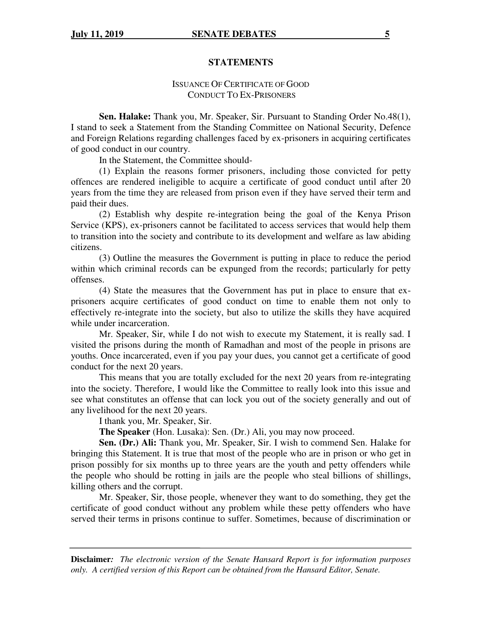#### **STATEMENTS**

## ISSUANCE OF CERTIFICATE OF GOOD CONDUCT TO EX-PRISONERS

**Sen. Halake:** Thank you, Mr. Speaker, Sir. Pursuant to Standing Order No.48(1), I stand to seek a Statement from the Standing Committee on National Security, Defence and Foreign Relations regarding challenges faced by ex-prisoners in acquiring certificates of good conduct in our country.

In the Statement, the Committee should-

(1) Explain the reasons former prisoners, including those convicted for petty offences are rendered ineligible to acquire a certificate of good conduct until after 20 years from the time they are released from prison even if they have served their term and paid their dues.

(2) Establish why despite re-integration being the goal of the Kenya Prison Service (KPS), ex-prisoners cannot be facilitated to access services that would help them to transition into the society and contribute to its development and welfare as law abiding citizens.

(3) Outline the measures the Government is putting in place to reduce the period within which criminal records can be expunged from the records; particularly for petty offenses.

(4) State the measures that the Government has put in place to ensure that exprisoners acquire certificates of good conduct on time to enable them not only to effectively re-integrate into the society, but also to utilize the skills they have acquired while under incarceration.

Mr. Speaker, Sir, while I do not wish to execute my Statement, it is really sad. I visited the prisons during the month of Ramadhan and most of the people in prisons are youths. Once incarcerated, even if you pay your dues, you cannot get a certificate of good conduct for the next 20 years.

This means that you are totally excluded for the next 20 years from re-integrating into the society. Therefore, I would like the Committee to really look into this issue and see what constitutes an offense that can lock you out of the society generally and out of any livelihood for the next 20 years.

I thank you, Mr. Speaker, Sir.

**The Speaker** (Hon. Lusaka): Sen. (Dr.) Ali, you may now proceed.

**Sen. (Dr.) Ali:** Thank you, Mr. Speaker, Sir. I wish to commend Sen. Halake for bringing this Statement. It is true that most of the people who are in prison or who get in prison possibly for six months up to three years are the youth and petty offenders while the people who should be rotting in jails are the people who steal billions of shillings, killing others and the corrupt.

Mr. Speaker, Sir, those people, whenever they want to do something, they get the certificate of good conduct without any problem while these petty offenders who have served their terms in prisons continue to suffer. Sometimes, because of discrimination or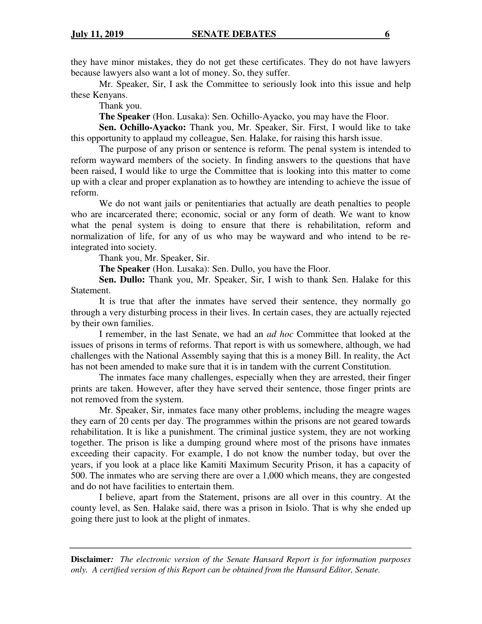they have minor mistakes, they do not get these certificates. They do not have lawyers because lawyers also want a lot of money. So, they suffer.

Mr. Speaker, Sir, I ask the Committee to seriously look into this issue and help these Kenyans.

Thank you.

**The Speaker** (Hon. Lusaka): Sen. Ochillo-Ayacko, you may have the Floor.

**Sen. Ochillo-Ayacko:** Thank you, Mr. Speaker, Sir. First, I would like to take this opportunity to applaud my colleague, Sen. Halake, for raising this harsh issue.

The purpose of any prison or sentence is reform. The penal system is intended to reform wayward members of the society. In finding answers to the questions that have been raised, I would like to urge the Committee that is looking into this matter to come up with a clear and proper explanation as to howthey are intending to achieve the issue of reform.

We do not want jails or penitentiaries that actually are death penalties to people who are incarcerated there; economic, social or any form of death. We want to know what the penal system is doing to ensure that there is rehabilitation, reform and normalization of life, for any of us who may be wayward and who intend to be reintegrated into society.

Thank you, Mr. Speaker, Sir.

**The Speaker** (Hon. Lusaka): Sen. Dullo, you have the Floor.

**Sen. Dullo:** Thank you, Mr. Speaker, Sir, I wish to thank Sen. Halake for this Statement.

It is true that after the inmates have served their sentence, they normally go through a very disturbing process in their lives. In certain cases, they are actually rejected by their own families.

I remember, in the last Senate, we had an *ad hoc* Committee that looked at the issues of prisons in terms of reforms. That report is with us somewhere, although, we had challenges with the National Assembly saying that this is a money Bill. In reality, the Act has not been amended to make sure that it is in tandem with the current Constitution.

The inmates face many challenges, especially when they are arrested, their finger prints are taken. However, after they have served their sentence, those finger prints are not removed from the system.

Mr. Speaker, Sir, inmates face many other problems, including the meagre wages they earn of 20 cents per day. The programmes within the prisons are not geared towards rehabilitation. It is like a punishment. The criminal justice system, they are not working together. The prison is like a dumping ground where most of the prisons have inmates exceeding their capacity. For example, I do not know the number today, but over the years, if you look at a place like Kamiti Maximum Security Prison, it has a capacity of 500. The inmates who are serving there are over a 1,000 which means, they are congested and do not have facilities to entertain them.

I believe, apart from the Statement, prisons are all over in this country. At the county level, as Sen. Halake said, there was a prison in Isiolo. That is why she ended up going there just to look at the plight of inmates.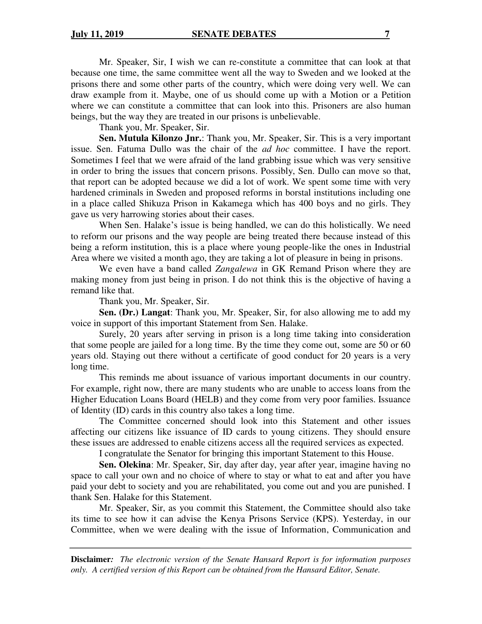Mr. Speaker, Sir, I wish we can re-constitute a committee that can look at that because one time, the same committee went all the way to Sweden and we looked at the prisons there and some other parts of the country, which were doing very well. We can draw example from it. Maybe, one of us should come up with a Motion or a Petition where we can constitute a committee that can look into this. Prisoners are also human beings, but the way they are treated in our prisons is unbelievable.

Thank you, Mr. Speaker, Sir.

**Sen. Mutula Kilonzo Jnr.**: Thank you, Mr. Speaker, Sir. This is a very important issue. Sen. Fatuma Dullo was the chair of the *ad hoc* committee. I have the report. Sometimes I feel that we were afraid of the land grabbing issue which was very sensitive in order to bring the issues that concern prisons. Possibly, Sen. Dullo can move so that, that report can be adopted because we did a lot of work. We spent some time with very hardened criminals in Sweden and proposed reforms in borstal institutions including one in a place called Shikuza Prison in Kakamega which has 400 boys and no girls. They gave us very harrowing stories about their cases.

When Sen. Halake's issue is being handled, we can do this holistically. We need to reform our prisons and the way people are being treated there because instead of this being a reform institution, this is a place where young people-like the ones in Industrial Area where we visited a month ago, they are taking a lot of pleasure in being in prisons.

We even have a band called *Zangalewa* in GK Remand Prison where they are making money from just being in prison. I do not think this is the objective of having a remand like that.

Thank you, Mr. Speaker, Sir.

**Sen. (Dr.) Langat**: Thank you, Mr. Speaker, Sir, for also allowing me to add my voice in support of this important Statement from Sen. Halake.

Surely, 20 years after serving in prison is a long time taking into consideration that some people are jailed for a long time. By the time they come out, some are 50 or 60 years old. Staying out there without a certificate of good conduct for 20 years is a very long time.

This reminds me about issuance of various important documents in our country. For example, right now, there are many students who are unable to access loans from the Higher Education Loans Board (HELB) and they come from very poor families. Issuance of Identity (ID) cards in this country also takes a long time.

The Committee concerned should look into this Statement and other issues affecting our citizens like issuance of ID cards to young citizens. They should ensure these issues are addressed to enable citizens access all the required services as expected.

I congratulate the Senator for bringing this important Statement to this House.

**Sen. Olekina**: Mr. Speaker, Sir, day after day, year after year, imagine having no space to call your own and no choice of where to stay or what to eat and after you have paid your debt to society and you are rehabilitated, you come out and you are punished. I thank Sen. Halake for this Statement.

Mr. Speaker, Sir, as you commit this Statement, the Committee should also take its time to see how it can advise the Kenya Prisons Service (KPS). Yesterday, in our Committee, when we were dealing with the issue of Information, Communication and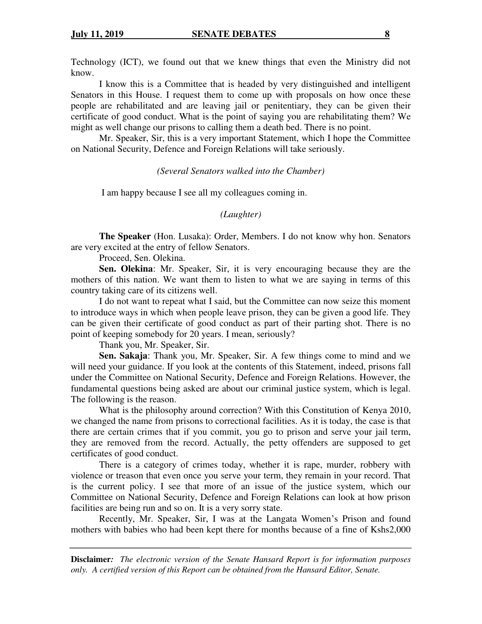Technology (ICT), we found out that we knew things that even the Ministry did not know.

I know this is a Committee that is headed by very distinguished and intelligent Senators in this House. I request them to come up with proposals on how once these people are rehabilitated and are leaving jail or penitentiary, they can be given their certificate of good conduct. What is the point of saying you are rehabilitating them? We might as well change our prisons to calling them a death bed. There is no point.

Mr. Speaker, Sir, this is a very important Statement, which I hope the Committee on National Security, Defence and Foreign Relations will take seriously.

#### *(Several Senators walked into the Chamber)*

I am happy because I see all my colleagues coming in.

#### *(Laughter)*

**The Speaker** (Hon. Lusaka): Order, Members. I do not know why hon. Senators are very excited at the entry of fellow Senators.

Proceed, Sen. Olekina.

**Sen. Olekina**: Mr. Speaker, Sir, it is very encouraging because they are the mothers of this nation. We want them to listen to what we are saying in terms of this country taking care of its citizens well.

 I do not want to repeat what I said, but the Committee can now seize this moment to introduce ways in which when people leave prison, they can be given a good life. They can be given their certificate of good conduct as part of their parting shot. There is no point of keeping somebody for 20 years. I mean, seriously?

Thank you, Mr. Speaker, Sir.

**Sen. Sakaja**: Thank you, Mr. Speaker, Sir. A few things come to mind and we will need your guidance. If you look at the contents of this Statement, indeed, prisons fall under the Committee on National Security, Defence and Foreign Relations. However, the fundamental questions being asked are about our criminal justice system, which is legal. The following is the reason.

 What is the philosophy around correction? With this Constitution of Kenya 2010, we changed the name from prisons to correctional facilities. As it is today, the case is that there are certain crimes that if you commit, you go to prison and serve your jail term, they are removed from the record. Actually, the petty offenders are supposed to get certificates of good conduct.

 There is a category of crimes today, whether it is rape, murder, robbery with violence or treason that even once you serve your term, they remain in your record. That is the current policy. I see that more of an issue of the justice system, which our Committee on National Security, Defence and Foreign Relations can look at how prison facilities are being run and so on. It is a very sorry state.

 Recently, Mr. Speaker, Sir, I was at the Langata Women's Prison and found mothers with babies who had been kept there for months because of a fine of Kshs2,000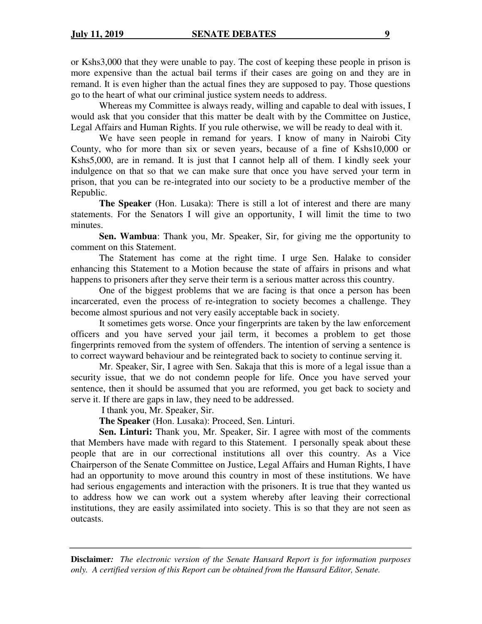or Kshs3,000 that they were unable to pay. The cost of keeping these people in prison is more expensive than the actual bail terms if their cases are going on and they are in remand. It is even higher than the actual fines they are supposed to pay. Those questions go to the heart of what our criminal justice system needs to address.

 Whereas my Committee is always ready, willing and capable to deal with issues, I would ask that you consider that this matter be dealt with by the Committee on Justice, Legal Affairs and Human Rights. If you rule otherwise, we will be ready to deal with it.

 We have seen people in remand for years. I know of many in Nairobi City County, who for more than six or seven years, because of a fine of Kshs10,000 or Kshs5,000, are in remand. It is just that I cannot help all of them. I kindly seek your indulgence on that so that we can make sure that once you have served your term in prison, that you can be re-integrated into our society to be a productive member of the Republic.

**The Speaker** (Hon. Lusaka): There is still a lot of interest and there are many statements. For the Senators I will give an opportunity, I will limit the time to two minutes.

**Sen. Wambua**: Thank you, Mr. Speaker, Sir, for giving me the opportunity to comment on this Statement.

 The Statement has come at the right time. I urge Sen. Halake to consider enhancing this Statement to a Motion because the state of affairs in prisons and what happens to prisoners after they serve their term is a serious matter across this country.

 One of the biggest problems that we are facing is that once a person has been incarcerated, even the process of re-integration to society becomes a challenge. They become almost spurious and not very easily acceptable back in society.

It sometimes gets worse. Once your fingerprints are taken by the law enforcement officers and you have served your jail term, it becomes a problem to get those fingerprints removed from the system of offenders. The intention of serving a sentence is to correct wayward behaviour and be reintegrated back to society to continue serving it.

 Mr. Speaker, Sir, I agree with Sen. Sakaja that this is more of a legal issue than a security issue, that we do not condemn people for life. Once you have served your sentence, then it should be assumed that you are reformed, you get back to society and serve it. If there are gaps in law, they need to be addressed.

I thank you, Mr. Speaker, Sir.

**The Speaker** (Hon. Lusaka): Proceed, Sen. Linturi.

**Sen. Linturi:** Thank you, Mr. Speaker, Sir. I agree with most of the comments that Members have made with regard to this Statement. I personally speak about these people that are in our correctional institutions all over this country. As a Vice Chairperson of the Senate Committee on Justice, Legal Affairs and Human Rights, I have had an opportunity to move around this country in most of these institutions. We have had serious engagements and interaction with the prisoners. It is true that they wanted us to address how we can work out a system whereby after leaving their correctional institutions, they are easily assimilated into society. This is so that they are not seen as outcasts.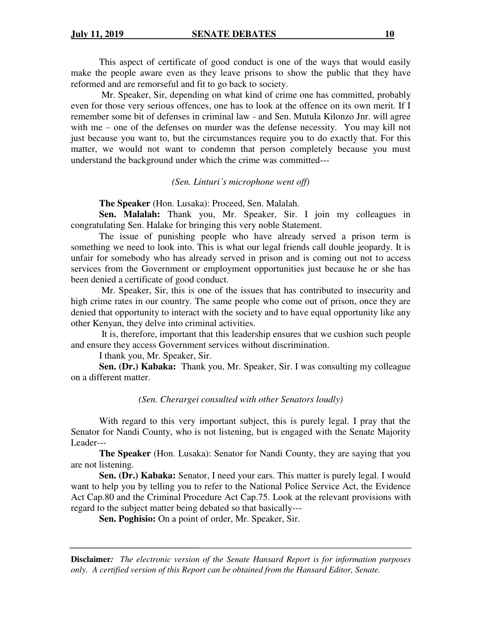This aspect of certificate of good conduct is one of the ways that would easily make the people aware even as they leave prisons to show the public that they have reformed and are remorseful and fit to go back to society.

 Mr. Speaker, Sir, depending on what kind of crime one has committed, probably even for those very serious offences, one has to look at the offence on its own merit. If I remember some bit of defenses in criminal law - and Sen. Mutula Kilonzo Jnr. will agree with me – one of the defenses on murder was the defense necessity. You may kill not just because you want to, but the circumstances require you to do exactly that. For this matter, we would not want to condemn that person completely because you must understand the background under which the crime was committed---

#### *(Sen. Linturi's microphone went off)*

**The Speaker** (Hon. Lusaka): Proceed, Sen. Malalah.

**Sen. Malalah:** Thank you, Mr. Speaker, Sir. I join my colleagues in congratulating Sen. Halake for bringing this very noble Statement.

The issue of punishing people who have already served a prison term is something we need to look into. This is what our legal friends call double jeopardy. It is unfair for somebody who has already served in prison and is coming out not to access services from the Government or employment opportunities just because he or she has been denied a certificate of good conduct.

 Mr. Speaker, Sir, this is one of the issues that has contributed to insecurity and high crime rates in our country. The same people who come out of prison, once they are denied that opportunity to interact with the society and to have equal opportunity like any other Kenyan, they delve into criminal activities.

 It is, therefore, important that this leadership ensures that we cushion such people and ensure they access Government services without discrimination.

I thank you, Mr. Speaker, Sir.

**Sen. (Dr.) Kabaka:** Thank you, Mr. Speaker, Sir. I was consulting my colleague on a different matter.

#### *(Sen. Cherargei consulted with other Senators loudly)*

With regard to this very important subject, this is purely legal. I pray that the Senator for Nandi County, who is not listening, but is engaged with the Senate Majority Leader---

**The Speaker** (Hon. Lusaka): Senator for Nandi County, they are saying that you are not listening.

**Sen. (Dr.) Kabaka:** Senator, I need your ears. This matter is purely legal. I would want to help you by telling you to refer to the National Police Service Act, the Evidence Act Cap.80 and the Criminal Procedure Act Cap.75. Look at the relevant provisions with regard to the subject matter being debated so that basically---

**Sen. Poghisio:** On a point of order, Mr. Speaker, Sir.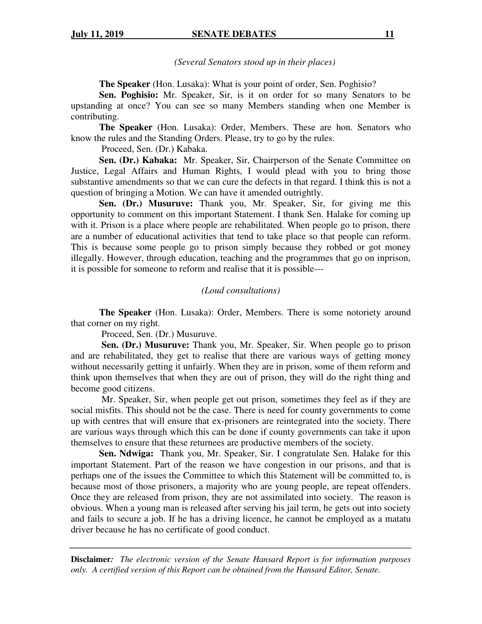*(Several Senators stood up in their places)* 

**The Speaker** (Hon. Lusaka): What is your point of order, Sen. Poghisio?

**Sen. Poghisio:** Mr. Speaker, Sir, is it on order for so many Senators to be upstanding at once? You can see so many Members standing when one Member is contributing.

**The Speaker** (Hon. Lusaka): Order, Members. These are hon. Senators who know the rules and the Standing Orders. Please, try to go by the rules.

Proceed, Sen. (Dr.) Kabaka.

**Sen. (Dr.) Kabaka:** Mr. Speaker, Sir, Chairperson of the Senate Committee on Justice, Legal Affairs and Human Rights, I would plead with you to bring those substantive amendments so that we can cure the defects in that regard. I think this is not a question of bringing a Motion. We can have it amended outrightly.

**Sen. (Dr.) Musuruve:** Thank you, Mr. Speaker, Sir, for giving me this opportunity to comment on this important Statement. I thank Sen. Halake for coming up with it. Prison is a place where people are rehabilitated. When people go to prison, there are a number of educational activities that tend to take place so that people can reform. This is because some people go to prison simply because they robbed or got money illegally. However, through education, teaching and the programmes that go on inprison, it is possible for someone to reform and realise that it is possible---

#### *(Loud consultations)*

**The Speaker** (Hon. Lusaka): Order, Members. There is some notoriety around that corner on my right.

Proceed, Sen. (Dr.) Musuruve.

 **Sen. (Dr.) Musuruve:** Thank you, Mr. Speaker, Sir. When people go to prison and are rehabilitated, they get to realise that there are various ways of getting money without necessarily getting it unfairly. When they are in prison, some of them reform and think upon themselves that when they are out of prison, they will do the right thing and become good citizens.

 Mr. Speaker, Sir, when people get out prison, sometimes they feel as if they are social misfits. This should not be the case. There is need for county governments to come up with centres that will ensure that ex-prisoners are reintegrated into the society. There are various ways through which this can be done if county governments can take it upon themselves to ensure that these returnees are productive members of the society.

**Sen. Ndwiga:** Thank you, Mr. Speaker, Sir. I congratulate Sen. Halake for this important Statement. Part of the reason we have congestion in our prisons, and that is perhaps one of the issues the Committee to which this Statement will be committed to, is because most of those prisoners, a majority who are young people, are repeat offenders. Once they are released from prison, they are not assimilated into society. The reason is obvious. When a young man is released after serving his jail term, he gets out into society and fails to secure a job. If he has a driving licence, he cannot be employed as a matatu driver because he has no certificate of good conduct.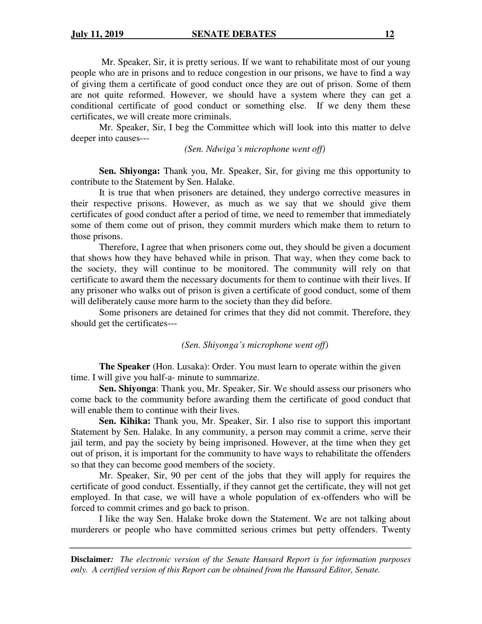Mr. Speaker, Sir, it is pretty serious. If we want to rehabilitate most of our young people who are in prisons and to reduce congestion in our prisons, we have to find a way of giving them a certificate of good conduct once they are out of prison. Some of them are not quite reformed. However, we should have a system where they can get a conditional certificate of good conduct or something else. If we deny them these certificates, we will create more criminals.

Mr. Speaker, Sir, I beg the Committee which will look into this matter to delve deeper into causes---

*(Sen. Ndwiga's microphone went off)* 

**Sen. Shiyonga:** Thank you, Mr. Speaker, Sir, for giving me this opportunity to contribute to the Statement by Sen. Halake.

It is true that when prisoners are detained, they undergo corrective measures in their respective prisons. However, as much as we say that we should give them certificates of good conduct after a period of time, we need to remember that immediately some of them come out of prison, they commit murders which make them to return to those prisons.

Therefore, I agree that when prisoners come out, they should be given a document that shows how they have behaved while in prison. That way, when they come back to the society, they will continue to be monitored. The community will rely on that certificate to award them the necessary documents for them to continue with their lives. If any prisoner who walks out of prison is given a certificate of good conduct, some of them will deliberately cause more harm to the society than they did before.

Some prisoners are detained for crimes that they did not commit. Therefore, they should get the certificates---

#### *(Sen. Shiyonga's microphone went off)*

**The Speaker** (Hon. Lusaka): Order. You must learn to operate within the given time. I will give you half-a- minute to summarize.

**Sen. Shiyonga**: Thank you, Mr. Speaker, Sir. We should assess our prisoners who come back to the community before awarding them the certificate of good conduct that will enable them to continue with their lives.

**Sen. Kihika:** Thank you, Mr. Speaker, Sir. I also rise to support this important Statement by Sen. Halake. In any community, a person may commit a crime, serve their jail term, and pay the society by being imprisoned. However, at the time when they get out of prison, it is important for the community to have ways to rehabilitate the offenders so that they can become good members of the society.

Mr. Speaker, Sir, 90 per cent of the jobs that they will apply for requires the certificate of good conduct. Essentially, if they cannot get the certificate, they will not get employed. In that case, we will have a whole population of ex-offenders who will be forced to commit crimes and go back to prison.

I like the way Sen. Halake broke down the Statement. We are not talking about murderers or people who have committed serious crimes but petty offenders. Twenty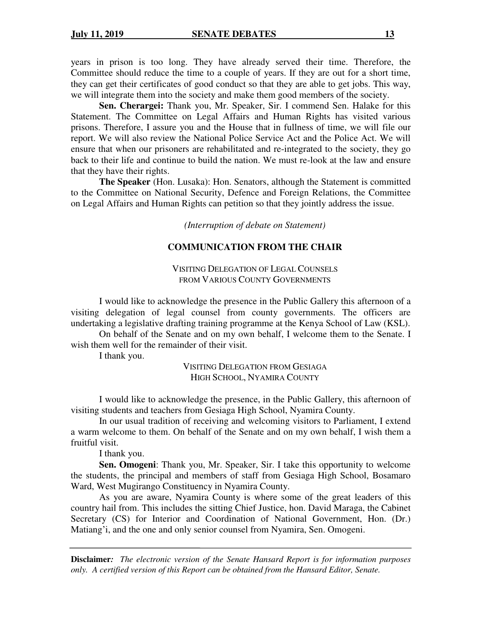years in prison is too long. They have already served their time. Therefore, the Committee should reduce the time to a couple of years. If they are out for a short time, they can get their certificates of good conduct so that they are able to get jobs. This way, we will integrate them into the society and make them good members of the society.

**Sen. Cherargei:** Thank you, Mr. Speaker, Sir. I commend Sen. Halake for this Statement. The Committee on Legal Affairs and Human Rights has visited various prisons. Therefore, I assure you and the House that in fullness of time, we will file our report. We will also review the National Police Service Act and the Police Act. We will ensure that when our prisoners are rehabilitated and re-integrated to the society, they go back to their life and continue to build the nation. We must re-look at the law and ensure that they have their rights.

**The Speaker** (Hon. Lusaka): Hon. Senators, although the Statement is committed to the Committee on National Security, Defence and Foreign Relations, the Committee on Legal Affairs and Human Rights can petition so that they jointly address the issue.

*(Interruption of debate on Statement)* 

## **COMMUNICATION FROM THE CHAIR**

VISITING DELEGATION OF LEGAL COUNSELS FROM VARIOUS COUNTY GOVERNMENTS

I would like to acknowledge the presence in the Public Gallery this afternoon of a visiting delegation of legal counsel from county governments. The officers are undertaking a legislative drafting training programme at the Kenya School of Law (KSL).

On behalf of the Senate and on my own behalf, I welcome them to the Senate. I wish them well for the remainder of their visit.

I thank you.

VISITING DELEGATION FROM GESIAGA HIGH SCHOOL, NYAMIRA COUNTY

I would like to acknowledge the presence, in the Public Gallery, this afternoon of visiting students and teachers from Gesiaga High School, Nyamira County.

In our usual tradition of receiving and welcoming visitors to Parliament, I extend a warm welcome to them. On behalf of the Senate and on my own behalf, I wish them a fruitful visit.

I thank you.

**Sen. Omogeni**: Thank you, Mr. Speaker, Sir. I take this opportunity to welcome the students, the principal and members of staff from Gesiaga High School, Bosamaro Ward, West Mugirango Constituency in Nyamira County.

As you are aware, Nyamira County is where some of the great leaders of this country hail from. This includes the sitting Chief Justice, hon. David Maraga, the Cabinet Secretary (CS) for Interior and Coordination of National Government, Hon. (Dr.) Matiang'i, and the one and only senior counsel from Nyamira, Sen. Omogeni.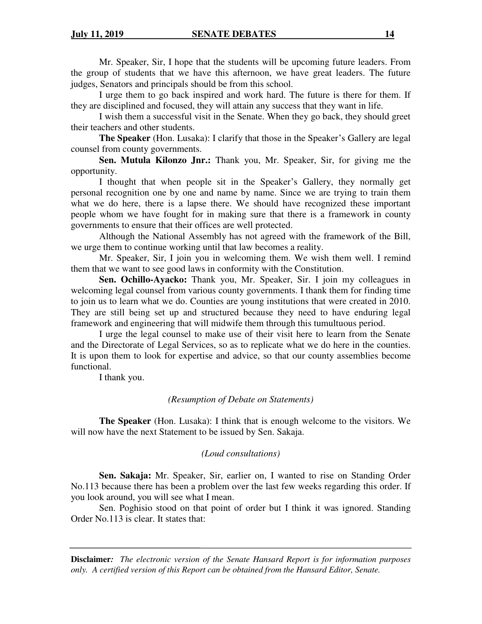Mr. Speaker, Sir, I hope that the students will be upcoming future leaders. From the group of students that we have this afternoon, we have great leaders. The future judges, Senators and principals should be from this school.

I urge them to go back inspired and work hard. The future is there for them. If they are disciplined and focused, they will attain any success that they want in life.

I wish them a successful visit in the Senate. When they go back, they should greet their teachers and other students.

**The Speaker** (Hon. Lusaka): I clarify that those in the Speaker's Gallery are legal counsel from county governments.

**Sen. Mutula Kilonzo Jnr.:** Thank you, Mr. Speaker, Sir, for giving me the opportunity.

I thought that when people sit in the Speaker's Gallery, they normally get personal recognition one by one and name by name. Since we are trying to train them what we do here, there is a lapse there. We should have recognized these important people whom we have fought for in making sure that there is a framework in county governments to ensure that their offices are well protected.

Although the National Assembly has not agreed with the framework of the Bill, we urge them to continue working until that law becomes a reality.

Mr. Speaker, Sir, I join you in welcoming them. We wish them well. I remind them that we want to see good laws in conformity with the Constitution.

**Sen. Ochillo-Ayacko:** Thank you, Mr. Speaker, Sir. I join my colleagues in welcoming legal counsel from various county governments. I thank them for finding time to join us to learn what we do. Counties are young institutions that were created in 2010. They are still being set up and structured because they need to have enduring legal framework and engineering that will midwife them through this tumultuous period.

 I urge the legal counsel to make use of their visit here to learn from the Senate and the Directorate of Legal Services, so as to replicate what we do here in the counties. It is upon them to look for expertise and advice, so that our county assemblies become functional.

I thank you.

#### *(Resumption of Debate on Statements)*

**The Speaker** (Hon. Lusaka): I think that is enough welcome to the visitors. We will now have the next Statement to be issued by Sen. Sakaja.

## *(Loud consultations)*

**Sen. Sakaja:** Mr. Speaker, Sir, earlier on, I wanted to rise on Standing Order No.113 because there has been a problem over the last few weeks regarding this order. If you look around, you will see what I mean.

 Sen. Poghisio stood on that point of order but I think it was ignored. Standing Order No.113 is clear. It states that: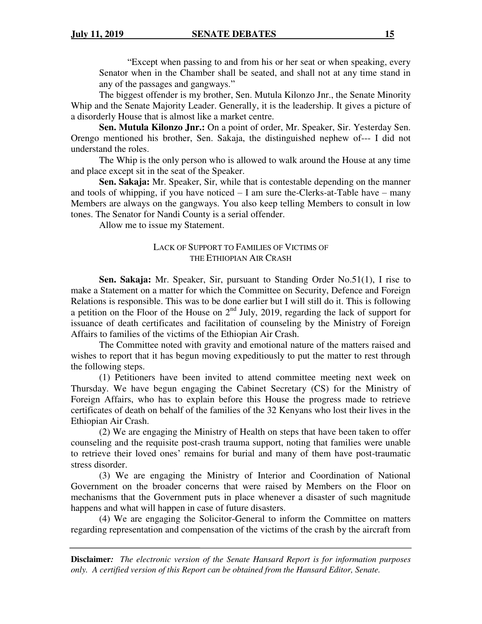"Except when passing to and from his or her seat or when speaking, every Senator when in the Chamber shall be seated, and shall not at any time stand in any of the passages and gangways."

 The biggest offender is my brother, Sen. Mutula Kilonzo Jnr., the Senate Minority Whip and the Senate Majority Leader. Generally, it is the leadership. It gives a picture of a disorderly House that is almost like a market centre.

**Sen. Mutula Kilonzo Jnr.:** On a point of order, Mr. Speaker, Sir. Yesterday Sen. Orengo mentioned his brother, Sen. Sakaja, the distinguished nephew of--- I did not understand the roles.

 The Whip is the only person who is allowed to walk around the House at any time and place except sit in the seat of the Speaker.

**Sen. Sakaja:** Mr. Speaker, Sir, while that is contestable depending on the manner and tools of whipping, if you have noticed  $- I$  am sure the-Clerks-at-Table have  $-$  many Members are always on the gangways. You also keep telling Members to consult in low tones. The Senator for Nandi County is a serial offender.

Allow me to issue my Statement.

## LACK OF SUPPORT TO FAMILIES OF VICTIMS OF THE ETHIOPIAN AIR CRASH

**Sen. Sakaja:** Mr. Speaker, Sir, pursuant to Standing Order No.51(1), I rise to make a Statement on a matter for which the Committee on Security, Defence and Foreign Relations is responsible. This was to be done earlier but I will still do it. This is following a petition on the Floor of the House on  $2<sup>nd</sup>$  July, 2019, regarding the lack of support for issuance of death certificates and facilitation of counseling by the Ministry of Foreign Affairs to families of the victims of the Ethiopian Air Crash.

 The Committee noted with gravity and emotional nature of the matters raised and wishes to report that it has begun moving expeditiously to put the matter to rest through the following steps.

(1) Petitioners have been invited to attend committee meeting next week on Thursday. We have begun engaging the Cabinet Secretary (CS) for the Ministry of Foreign Affairs, who has to explain before this House the progress made to retrieve certificates of death on behalf of the families of the 32 Kenyans who lost their lives in the Ethiopian Air Crash.

(2) We are engaging the Ministry of Health on steps that have been taken to offer counseling and the requisite post-crash trauma support, noting that families were unable to retrieve their loved ones' remains for burial and many of them have post-traumatic stress disorder.

(3) We are engaging the Ministry of Interior and Coordination of National Government on the broader concerns that were raised by Members on the Floor on mechanisms that the Government puts in place whenever a disaster of such magnitude happens and what will happen in case of future disasters.

(4) We are engaging the Solicitor-General to inform the Committee on matters regarding representation and compensation of the victims of the crash by the aircraft from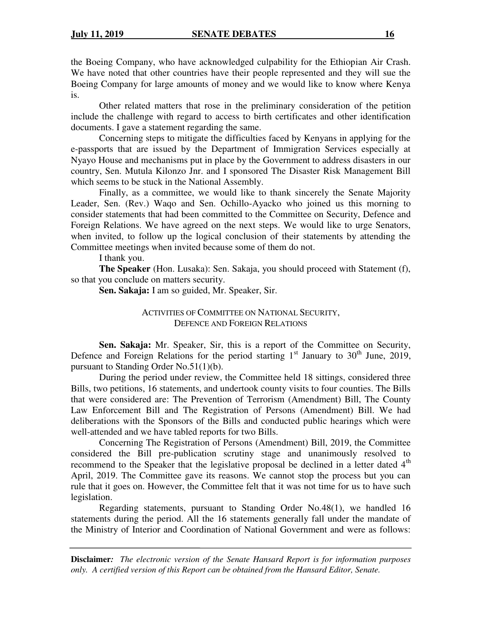the Boeing Company, who have acknowledged culpability for the Ethiopian Air Crash. We have noted that other countries have their people represented and they will sue the Boeing Company for large amounts of money and we would like to know where Kenya is.

 Other related matters that rose in the preliminary consideration of the petition include the challenge with regard to access to birth certificates and other identification documents. I gave a statement regarding the same.

 Concerning steps to mitigate the difficulties faced by Kenyans in applying for the e-passports that are issued by the Department of Immigration Services especially at Nyayo House and mechanisms put in place by the Government to address disasters in our country, Sen. Mutula Kilonzo Jnr. and I sponsored The Disaster Risk Management Bill which seems to be stuck in the National Assembly.

 Finally, as a committee, we would like to thank sincerely the Senate Majority Leader, Sen. (Rev.) Waqo and Sen. Ochillo-Ayacko who joined us this morning to consider statements that had been committed to the Committee on Security, Defence and Foreign Relations. We have agreed on the next steps. We would like to urge Senators, when invited, to follow up the logical conclusion of their statements by attending the Committee meetings when invited because some of them do not.

#### I thank you.

**The Speaker** (Hon. Lusaka): Sen. Sakaja, you should proceed with Statement (f), so that you conclude on matters security.

**Sen. Sakaja:** I am so guided, Mr. Speaker, Sir.

#### ACTIVITIES OF COMMITTEE ON NATIONAL SECURITY, DEFENCE AND FOREIGN RELATIONS

Sen. Sakaja: Mr. Speaker, Sir, this is a report of the Committee on Security, Defence and Foreign Relations for the period starting  $1<sup>st</sup>$  January to  $30<sup>th</sup>$  June, 2019, pursuant to Standing Order No.51(1)(b).

 During the period under review, the Committee held 18 sittings, considered three Bills, two petitions, 16 statements, and undertook county visits to four counties. The Bills that were considered are: The Prevention of Terrorism (Amendment) Bill, The County Law Enforcement Bill and The Registration of Persons (Amendment) Bill. We had deliberations with the Sponsors of the Bills and conducted public hearings which were well-attended and we have tabled reports for two Bills.

 Concerning The Registration of Persons (Amendment) Bill, 2019, the Committee considered the Bill pre-publication scrutiny stage and unanimously resolved to recommend to the Speaker that the legislative proposal be declined in a letter dated  $4<sup>th</sup>$ April, 2019. The Committee gave its reasons. We cannot stop the process but you can rule that it goes on. However, the Committee felt that it was not time for us to have such legislation.

 Regarding statements, pursuant to Standing Order No.48(1), we handled 16 statements during the period. All the 16 statements generally fall under the mandate of the Ministry of Interior and Coordination of National Government and were as follows: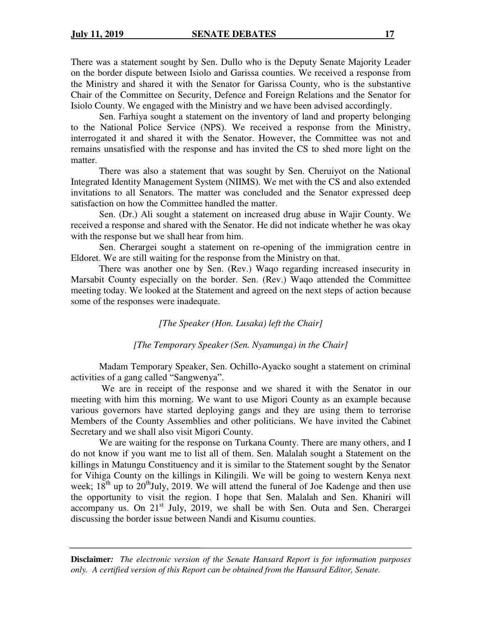There was a statement sought by Sen. Dullo who is the Deputy Senate Majority Leader on the border dispute between Isiolo and Garissa counties. We received a response from the Ministry and shared it with the Senator for Garissa County, who is the substantive Chair of the Committee on Security, Defence and Foreign Relations and the Senator for Isiolo County. We engaged with the Ministry and we have been advised accordingly.

Sen. Farhiya sought a statement on the inventory of land and property belonging to the National Police Service (NPS). We received a response from the Ministry, interrogated it and shared it with the Senator. However, the Committee was not and remains unsatisfied with the response and has invited the CS to shed more light on the matter.

There was also a statement that was sought by Sen. Cheruiyot on the National Integrated Identity Management System (NIIMS). We met with the CS and also extended invitations to all Senators. The matter was concluded and the Senator expressed deep satisfaction on how the Committee handled the matter.

Sen. (Dr.) Ali sought a statement on increased drug abuse in Wajir County. We received a response and shared with the Senator. He did not indicate whether he was okay with the response but we shall hear from him.

Sen. Cherargei sought a statement on re-opening of the immigration centre in Eldoret. We are still waiting for the response from the Ministry on that.

There was another one by Sen. (Rev.) Waqo regarding increased insecurity in Marsabit County especially on the border. Sen. (Rev.) Waqo attended the Committee meeting today. We looked at the Statement and agreed on the next steps of action because some of the responses were inadequate.

*[The Speaker (Hon. Lusaka) left the Chair]* 

## *[The Temporary Speaker (Sen. Nyamunga) in the Chair]*

Madam Temporary Speaker, Sen. Ochillo-Ayacko sought a statement on criminal activities of a gang called "Sangwenya".

 We are in receipt of the response and we shared it with the Senator in our meeting with him this morning. We want to use Migori County as an example because various governors have started deploying gangs and they are using them to terrorise Members of the County Assemblies and other politicians. We have invited the Cabinet Secretary and we shall also visit Migori County.

We are waiting for the response on Turkana County. There are many others, and I do not know if you want me to list all of them. Sen. Malalah sought a Statement on the killings in Matungu Constituency and it is similar to the Statement sought by the Senator for Vihiga County on the killings in Kilingili. We will be going to western Kenya next week;  $18<sup>th</sup>$  up to  $20<sup>th</sup>$ July, 2019. We will attend the funeral of Joe Kadenge and then use the opportunity to visit the region. I hope that Sen. Malalah and Sen. Khaniri will accompany us. On 21<sup>st</sup> July, 2019, we shall be with Sen. Outa and Sen. Cherargei discussing the border issue between Nandi and Kisumu counties.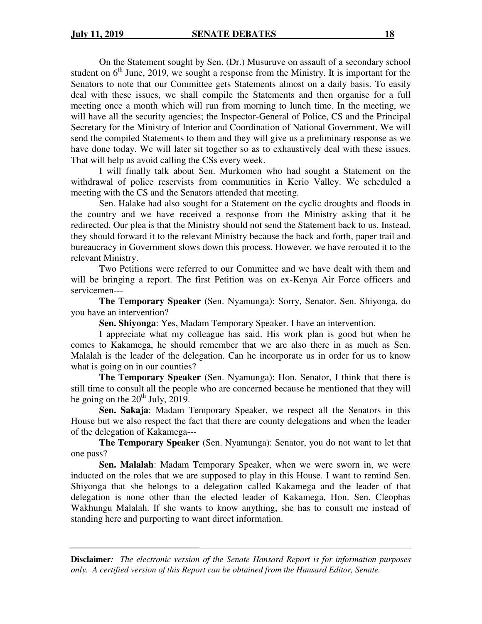On the Statement sought by Sen. (Dr.) Musuruve on assault of a secondary school student on  $6<sup>th</sup>$  June, 2019, we sought a response from the Ministry. It is important for the Senators to note that our Committee gets Statements almost on a daily basis. To easily deal with these issues, we shall compile the Statements and then organise for a full meeting once a month which will run from morning to lunch time. In the meeting, we will have all the security agencies; the Inspector-General of Police, CS and the Principal Secretary for the Ministry of Interior and Coordination of National Government. We will send the compiled Statements to them and they will give us a preliminary response as we have done today. We will later sit together so as to exhaustively deal with these issues. That will help us avoid calling the CSs every week.

I will finally talk about Sen. Murkomen who had sought a Statement on the withdrawal of police reservists from communities in Kerio Valley. We scheduled a meeting with the CS and the Senators attended that meeting.

Sen. Halake had also sought for a Statement on the cyclic droughts and floods in the country and we have received a response from the Ministry asking that it be redirected. Our plea is that the Ministry should not send the Statement back to us. Instead, they should forward it to the relevant Ministry because the back and forth, paper trail and bureaucracy in Government slows down this process. However, we have rerouted it to the relevant Ministry.

Two Petitions were referred to our Committee and we have dealt with them and will be bringing a report. The first Petition was on ex-Kenya Air Force officers and servicemen---

**The Temporary Speaker** (Sen. Nyamunga): Sorry, Senator. Sen. Shiyonga, do you have an intervention?

**Sen. Shiyonga**: Yes, Madam Temporary Speaker. I have an intervention.

I appreciate what my colleague has said. His work plan is good but when he comes to Kakamega, he should remember that we are also there in as much as Sen. Malalah is the leader of the delegation. Can he incorporate us in order for us to know what is going on in our counties?

**The Temporary Speaker** (Sen. Nyamunga): Hon. Senator, I think that there is still time to consult all the people who are concerned because he mentioned that they will be going on the  $20<sup>th</sup>$  July, 2019.

**Sen. Sakaja**: Madam Temporary Speaker, we respect all the Senators in this House but we also respect the fact that there are county delegations and when the leader of the delegation of Kakamega---

**The Temporary Speaker** (Sen. Nyamunga): Senator, you do not want to let that one pass?

**Sen. Malalah**: Madam Temporary Speaker, when we were sworn in, we were inducted on the roles that we are supposed to play in this House. I want to remind Sen. Shiyonga that she belongs to a delegation called Kakamega and the leader of that delegation is none other than the elected leader of Kakamega, Hon. Sen. Cleophas Wakhungu Malalah. If she wants to know anything, she has to consult me instead of standing here and purporting to want direct information.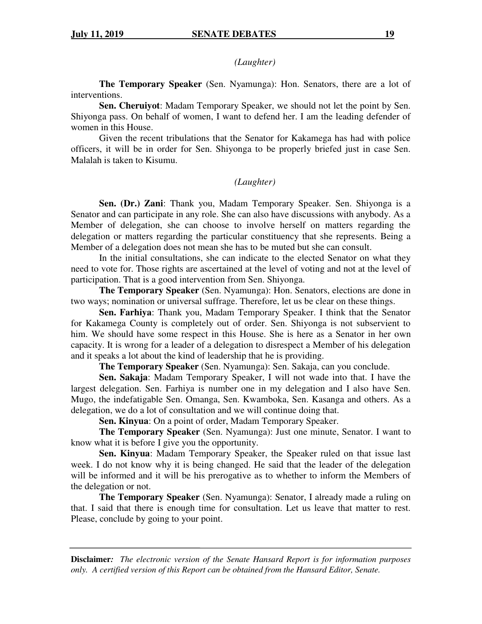*(Laughter)* 

**The Temporary Speaker** (Sen. Nyamunga): Hon. Senators, there are a lot of interventions.

**Sen. Cheruiyot**: Madam Temporary Speaker, we should not let the point by Sen. Shiyonga pass. On behalf of women, I want to defend her. I am the leading defender of women in this House.

Given the recent tribulations that the Senator for Kakamega has had with police officers, it will be in order for Sen. Shiyonga to be properly briefed just in case Sen. Malalah is taken to Kisumu.

## *(Laughter)*

**Sen. (Dr.) Zani**: Thank you, Madam Temporary Speaker. Sen. Shiyonga is a Senator and can participate in any role. She can also have discussions with anybody. As a Member of delegation, she can choose to involve herself on matters regarding the delegation or matters regarding the particular constituency that she represents. Being a Member of a delegation does not mean she has to be muted but she can consult.

In the initial consultations, she can indicate to the elected Senator on what they need to vote for. Those rights are ascertained at the level of voting and not at the level of participation. That is a good intervention from Sen. Shiyonga.

**The Temporary Speaker** (Sen. Nyamunga): Hon. Senators, elections are done in two ways; nomination or universal suffrage. Therefore, let us be clear on these things.

**Sen. Farhiya**: Thank you, Madam Temporary Speaker. I think that the Senator for Kakamega County is completely out of order. Sen. Shiyonga is not subservient to him. We should have some respect in this House. She is here as a Senator in her own capacity. It is wrong for a leader of a delegation to disrespect a Member of his delegation and it speaks a lot about the kind of leadership that he is providing.

**The Temporary Speaker** (Sen. Nyamunga): Sen. Sakaja, can you conclude.

**Sen. Sakaja**: Madam Temporary Speaker, I will not wade into that. I have the largest delegation. Sen. Farhiya is number one in my delegation and I also have Sen. Mugo, the indefatigable Sen. Omanga, Sen. Kwamboka, Sen. Kasanga and others. As a delegation, we do a lot of consultation and we will continue doing that.

**Sen. Kinyua**: On a point of order, Madam Temporary Speaker.

**The Temporary Speaker** (Sen. Nyamunga): Just one minute, Senator. I want to know what it is before I give you the opportunity.

**Sen. Kinyua**: Madam Temporary Speaker, the Speaker ruled on that issue last week. I do not know why it is being changed. He said that the leader of the delegation will be informed and it will be his prerogative as to whether to inform the Members of the delegation or not.

**The Temporary Speaker** (Sen. Nyamunga): Senator, I already made a ruling on that. I said that there is enough time for consultation. Let us leave that matter to rest. Please, conclude by going to your point.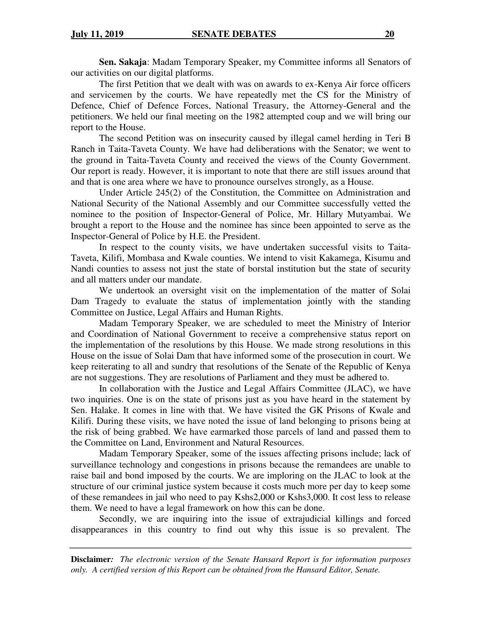**Sen. Sakaja**: Madam Temporary Speaker, my Committee informs all Senators of our activities on our digital platforms.

The first Petition that we dealt with was on awards to ex-Kenya Air force officers and servicemen by the courts. We have repeatedly met the CS for the Ministry of Defence, Chief of Defence Forces, National Treasury, the Attorney-General and the petitioners. We held our final meeting on the 1982 attempted coup and we will bring our report to the House.

The second Petition was on insecurity caused by illegal camel herding in Teri B Ranch in Taita-Taveta County. We have had deliberations with the Senator; we went to the ground in Taita-Taveta County and received the views of the County Government. Our report is ready. However, it is important to note that there are still issues around that and that is one area where we have to pronounce ourselves strongly, as a House.

Under Article 245(2) of the Constitution, the Committee on Administration and National Security of the National Assembly and our Committee successfully vetted the nominee to the position of Inspector-General of Police, Mr. Hillary Mutyambai. We brought a report to the House and the nominee has since been appointed to serve as the Inspector-General of Police by H.E. the President.

In respect to the county visits, we have undertaken successful visits to Taita-Taveta, Kilifi, Mombasa and Kwale counties. We intend to visit Kakamega, Kisumu and Nandi counties to assess not just the state of borstal institution but the state of security and all matters under our mandate.

We undertook an oversight visit on the implementation of the matter of Solai Dam Tragedy to evaluate the status of implementation jointly with the standing Committee on Justice, Legal Affairs and Human Rights.

Madam Temporary Speaker, we are scheduled to meet the Ministry of Interior and Coordination of National Government to receive a comprehensive status report on the implementation of the resolutions by this House. We made strong resolutions in this House on the issue of Solai Dam that have informed some of the prosecution in court. We keep reiterating to all and sundry that resolutions of the Senate of the Republic of Kenya are not suggestions. They are resolutions of Parliament and they must be adhered to.

In collaboration with the Justice and Legal Affairs Committee (JLAC), we have two inquiries. One is on the state of prisons just as you have heard in the statement by Sen. Halake. It comes in line with that. We have visited the GK Prisons of Kwale and Kilifi. During these visits, we have noted the issue of land belonging to prisons being at the risk of being grabbed. We have earmarked those parcels of land and passed them to the Committee on Land, Environment and Natural Resources.

Madam Temporary Speaker, some of the issues affecting prisons include; lack of surveillance technology and congestions in prisons because the remandees are unable to raise bail and bond imposed by the courts. We are imploring on the JLAC to look at the structure of our criminal justice system because it costs much more per day to keep some of these remandees in jail who need to pay Kshs2,000 or Kshs3,000. It cost less to release them. We need to have a legal framework on how this can be done.

Secondly, we are inquiring into the issue of extrajudicial killings and forced disappearances in this country to find out why this issue is so prevalent. The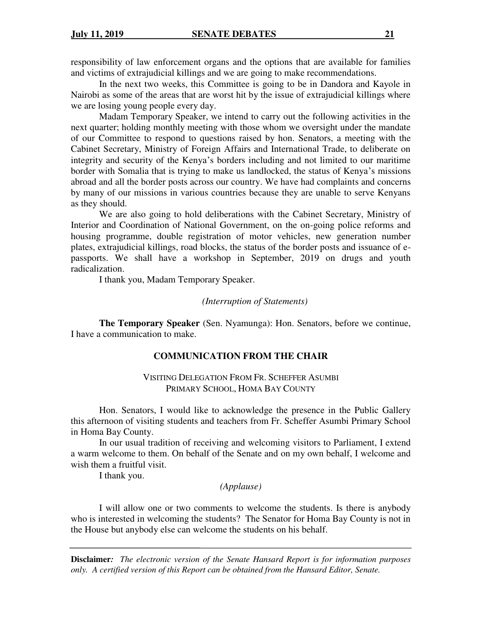responsibility of law enforcement organs and the options that are available for families and victims of extrajudicial killings and we are going to make recommendations.

In the next two weeks, this Committee is going to be in Dandora and Kayole in Nairobi as some of the areas that are worst hit by the issue of extrajudicial killings where we are losing young people every day.

Madam Temporary Speaker, we intend to carry out the following activities in the next quarter; holding monthly meeting with those whom we oversight under the mandate of our Committee to respond to questions raised by hon. Senators, a meeting with the Cabinet Secretary, Ministry of Foreign Affairs and International Trade, to deliberate on integrity and security of the Kenya's borders including and not limited to our maritime border with Somalia that is trying to make us landlocked, the status of Kenya's missions abroad and all the border posts across our country. We have had complaints and concerns by many of our missions in various countries because they are unable to serve Kenyans as they should.

We are also going to hold deliberations with the Cabinet Secretary, Ministry of Interior and Coordination of National Government, on the on-going police reforms and housing programme, double registration of motor vehicles, new generation number plates, extrajudicial killings, road blocks, the status of the border posts and issuance of epassports. We shall have a workshop in September, 2019 on drugs and youth radicalization.

I thank you, Madam Temporary Speaker.

#### *(Interruption of Statements)*

**The Temporary Speaker** (Sen. Nyamunga): Hon. Senators, before we continue, I have a communication to make.

## **COMMUNICATION FROM THE CHAIR**

VISITING DELEGATION FROM FR. SCHEFFER ASUMBI PRIMARY SCHOOL, HOMA BAY COUNTY

Hon. Senators, I would like to acknowledge the presence in the Public Gallery this afternoon of visiting students and teachers from Fr. Scheffer Asumbi Primary School in Homa Bay County.

In our usual tradition of receiving and welcoming visitors to Parliament, I extend a warm welcome to them. On behalf of the Senate and on my own behalf, I welcome and wish them a fruitful visit.

I thank you.

## *(Applause)*

I will allow one or two comments to welcome the students. Is there is anybody who is interested in welcoming the students? The Senator for Homa Bay County is not in the House but anybody else can welcome the students on his behalf.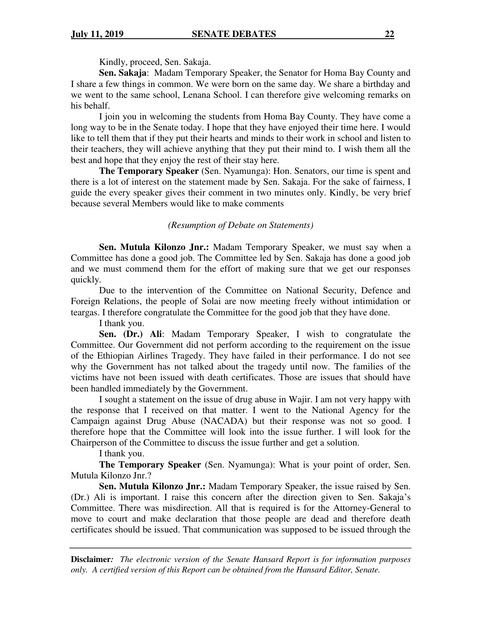Kindly, proceed, Sen. Sakaja.

**Sen. Sakaja**: Madam Temporary Speaker, the Senator for Homa Bay County and I share a few things in common. We were born on the same day. We share a birthday and we went to the same school, Lenana School. I can therefore give welcoming remarks on his behalf.

 I join you in welcoming the students from Homa Bay County. They have come a long way to be in the Senate today. I hope that they have enjoyed their time here. I would like to tell them that if they put their hearts and minds to their work in school and listen to their teachers, they will achieve anything that they put their mind to. I wish them all the best and hope that they enjoy the rest of their stay here.

**The Temporary Speaker** (Sen. Nyamunga): Hon. Senators, our time is spent and there is a lot of interest on the statement made by Sen. Sakaja. For the sake of fairness, I guide the every speaker gives their comment in two minutes only. Kindly, be very brief because several Members would like to make comments

#### *(Resumption of Debate on Statements)*

 **Sen. Mutula Kilonzo Jnr.:** Madam Temporary Speaker, we must say when a Committee has done a good job. The Committee led by Sen. Sakaja has done a good job and we must commend them for the effort of making sure that we get our responses quickly.

 Due to the intervention of the Committee on National Security, Defence and Foreign Relations, the people of Solai are now meeting freely without intimidation or teargas. I therefore congratulate the Committee for the good job that they have done.

I thank you.

**Sen. (Dr.) Ali**: Madam Temporary Speaker, I wish to congratulate the Committee. Our Government did not perform according to the requirement on the issue of the Ethiopian Airlines Tragedy. They have failed in their performance. I do not see why the Government has not talked about the tragedy until now. The families of the victims have not been issued with death certificates. Those are issues that should have been handled immediately by the Government.

 I sought a statement on the issue of drug abuse in Wajir. I am not very happy with the response that I received on that matter. I went to the National Agency for the Campaign against Drug Abuse (NACADA) but their response was not so good. I therefore hope that the Committee will look into the issue further. I will look for the Chairperson of the Committee to discuss the issue further and get a solution.

I thank you.

**The Temporary Speaker** (Sen. Nyamunga): What is your point of order, Sen. Mutula Kilonzo Jnr.?

**Sen. Mutula Kilonzo Jnr.:** Madam Temporary Speaker, the issue raised by Sen. (Dr.) Ali is important. I raise this concern after the direction given to Sen. Sakaja's Committee. There was misdirection. All that is required is for the Attorney-General to move to court and make declaration that those people are dead and therefore death certificates should be issued. That communication was supposed to be issued through the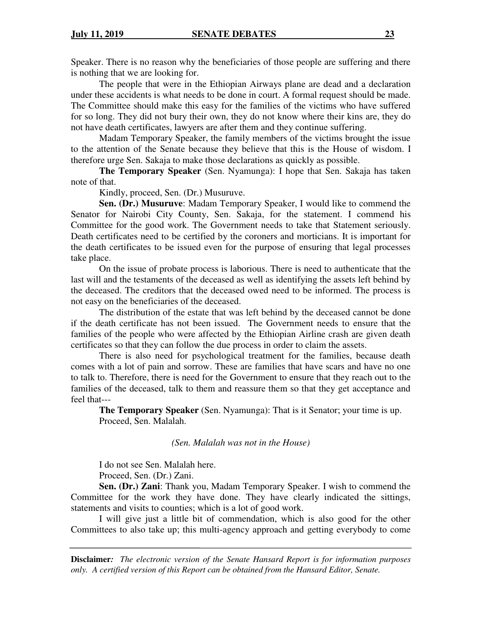Speaker. There is no reason why the beneficiaries of those people are suffering and there is nothing that we are looking for.

The people that were in the Ethiopian Airways plane are dead and a declaration under these accidents is what needs to be done in court. A formal request should be made. The Committee should make this easy for the families of the victims who have suffered for so long. They did not bury their own, they do not know where their kins are, they do not have death certificates, lawyers are after them and they continue suffering.

Madam Temporary Speaker, the family members of the victims brought the issue to the attention of the Senate because they believe that this is the House of wisdom. I therefore urge Sen. Sakaja to make those declarations as quickly as possible.

**The Temporary Speaker** (Sen. Nyamunga): I hope that Sen. Sakaja has taken note of that.

Kindly, proceed, Sen. (Dr.) Musuruve.

**Sen. (Dr.) Musuruve**: Madam Temporary Speaker, I would like to commend the Senator for Nairobi City County, Sen. Sakaja, for the statement. I commend his Committee for the good work. The Government needs to take that Statement seriously. Death certificates need to be certified by the coroners and morticians. It is important for the death certificates to be issued even for the purpose of ensuring that legal processes take place.

On the issue of probate process is laborious. There is need to authenticate that the last will and the testaments of the deceased as well as identifying the assets left behind by the deceased. The creditors that the deceased owed need to be informed. The process is not easy on the beneficiaries of the deceased.

The distribution of the estate that was left behind by the deceased cannot be done if the death certificate has not been issued. The Government needs to ensure that the families of the people who were affected by the Ethiopian Airline crash are given death certificates so that they can follow the due process in order to claim the assets.

 There is also need for psychological treatment for the families, because death comes with a lot of pain and sorrow. These are families that have scars and have no one to talk to. Therefore, there is need for the Government to ensure that they reach out to the families of the deceased, talk to them and reassure them so that they get acceptance and feel that---

**The Temporary Speaker** (Sen. Nyamunga): That is it Senator; your time is up. Proceed, Sen. Malalah.

*(Sen. Malalah was not in the House)* 

I do not see Sen. Malalah here.

Proceed, Sen. (Dr.) Zani.

**Sen. (Dr.) Zani**: Thank you, Madam Temporary Speaker. I wish to commend the Committee for the work they have done. They have clearly indicated the sittings, statements and visits to counties; which is a lot of good work.

 I will give just a little bit of commendation, which is also good for the other Committees to also take up; this multi-agency approach and getting everybody to come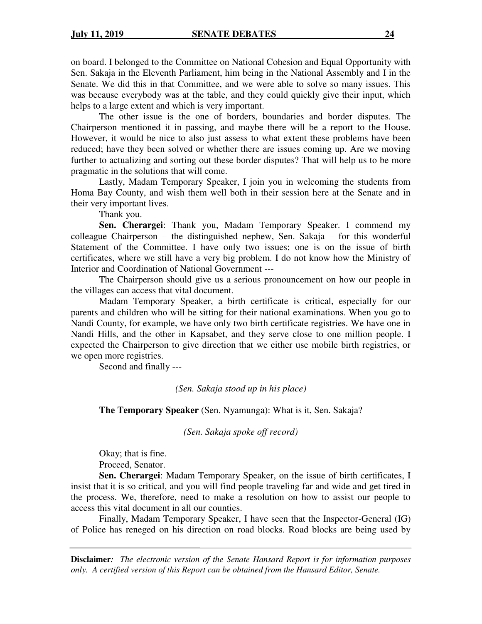on board. I belonged to the Committee on National Cohesion and Equal Opportunity with Sen. Sakaja in the Eleventh Parliament, him being in the National Assembly and I in the Senate. We did this in that Committee, and we were able to solve so many issues. This was because everybody was at the table, and they could quickly give their input, which helps to a large extent and which is very important.

 The other issue is the one of borders, boundaries and border disputes. The Chairperson mentioned it in passing, and maybe there will be a report to the House. However, it would be nice to also just assess to what extent these problems have been reduced; have they been solved or whether there are issues coming up. Are we moving further to actualizing and sorting out these border disputes? That will help us to be more pragmatic in the solutions that will come.

 Lastly, Madam Temporary Speaker, I join you in welcoming the students from Homa Bay County, and wish them well both in their session here at the Senate and in their very important lives.

Thank you.

**Sen. Cherargei**: Thank you, Madam Temporary Speaker. I commend my colleague Chairperson – the distinguished nephew, Sen. Sakaja – for this wonderful Statement of the Committee. I have only two issues; one is on the issue of birth certificates, where we still have a very big problem. I do not know how the Ministry of Interior and Coordination of National Government ---

The Chairperson should give us a serious pronouncement on how our people in the villages can access that vital document.

Madam Temporary Speaker, a birth certificate is critical, especially for our parents and children who will be sitting for their national examinations. When you go to Nandi County, for example, we have only two birth certificate registries. We have one in Nandi Hills, and the other in Kapsabet, and they serve close to one million people. I expected the Chairperson to give direction that we either use mobile birth registries, or we open more registries.

Second and finally ---

*(Sen. Sakaja stood up in his place)* 

**The Temporary Speaker** (Sen. Nyamunga): What is it, Sen. Sakaja?

*(Sen. Sakaja spoke off record)* 

Okay; that is fine. Proceed, Senator.

**Sen. Cherargei**: Madam Temporary Speaker, on the issue of birth certificates, I insist that it is so critical, and you will find people traveling far and wide and get tired in the process. We, therefore, need to make a resolution on how to assist our people to access this vital document in all our counties.

Finally, Madam Temporary Speaker, I have seen that the Inspector-General (IG) of Police has reneged on his direction on road blocks. Road blocks are being used by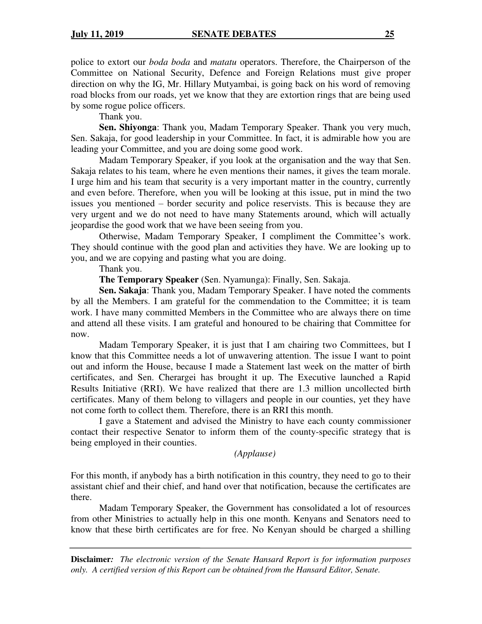police to extort our *boda boda* and *matatu* operators. Therefore, the Chairperson of the Committee on National Security, Defence and Foreign Relations must give proper direction on why the IG, Mr. Hillary Mutyambai, is going back on his word of removing road blocks from our roads, yet we know that they are extortion rings that are being used by some rogue police officers.

Thank you.

**Sen. Shiyonga**: Thank you, Madam Temporary Speaker. Thank you very much, Sen. Sakaja, for good leadership in your Committee. In fact, it is admirable how you are leading your Committee, and you are doing some good work.

Madam Temporary Speaker, if you look at the organisation and the way that Sen. Sakaja relates to his team, where he even mentions their names, it gives the team morale. I urge him and his team that security is a very important matter in the country, currently and even before. Therefore, when you will be looking at this issue, put in mind the two issues you mentioned – border security and police reservists. This is because they are very urgent and we do not need to have many Statements around, which will actually jeopardise the good work that we have been seeing from you.

Otherwise, Madam Temporary Speaker, I compliment the Committee's work. They should continue with the good plan and activities they have. We are looking up to you, and we are copying and pasting what you are doing.

Thank you.

**The Temporary Speaker** (Sen. Nyamunga): Finally, Sen. Sakaja.

**Sen. Sakaja**: Thank you, Madam Temporary Speaker. I have noted the comments by all the Members. I am grateful for the commendation to the Committee; it is team work. I have many committed Members in the Committee who are always there on time and attend all these visits. I am grateful and honoured to be chairing that Committee for now.

Madam Temporary Speaker, it is just that I am chairing two Committees, but I know that this Committee needs a lot of unwavering attention. The issue I want to point out and inform the House, because I made a Statement last week on the matter of birth certificates, and Sen. Cherargei has brought it up. The Executive launched a Rapid Results Initiative (RRI). We have realized that there are 1.3 million uncollected birth certificates. Many of them belong to villagers and people in our counties, yet they have not come forth to collect them. Therefore, there is an RRI this month.

I gave a Statement and advised the Ministry to have each county commissioner contact their respective Senator to inform them of the county-specific strategy that is being employed in their counties.

*(Applause)* 

For this month, if anybody has a birth notification in this country, they need to go to their assistant chief and their chief, and hand over that notification, because the certificates are there.

 Madam Temporary Speaker, the Government has consolidated a lot of resources from other Ministries to actually help in this one month. Kenyans and Senators need to know that these birth certificates are for free. No Kenyan should be charged a shilling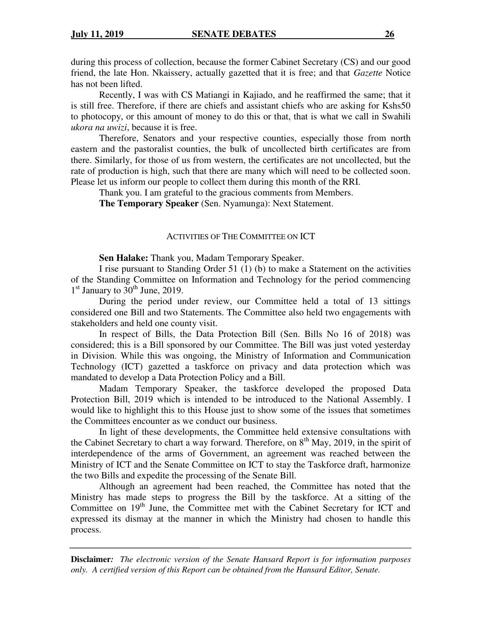during this process of collection, because the former Cabinet Secretary (CS) and our good friend, the late Hon. Nkaissery, actually gazetted that it is free; and that *Gazette* Notice has not been lifted.

Recently, I was with CS Matiangi in Kajiado, and he reaffirmed the same; that it is still free. Therefore, if there are chiefs and assistant chiefs who are asking for Kshs50 to photocopy, or this amount of money to do this or that, that is what we call in Swahili *ukora na uwizi*, because it is free.

Therefore, Senators and your respective counties, especially those from north eastern and the pastoralist counties, the bulk of uncollected birth certificates are from there. Similarly, for those of us from western, the certificates are not uncollected, but the rate of production is high, such that there are many which will need to be collected soon. Please let us inform our people to collect them during this month of the RRI.

Thank you. I am grateful to the gracious comments from Members.

**The Temporary Speaker** (Sen. Nyamunga): Next Statement.

#### ACTIVITIES OF THE COMMITTEE ON ICT

**Sen Halake:** Thank you, Madam Temporary Speaker.

I rise pursuant to Standing Order 51 (1) (b) to make a Statement on the activities of the Standing Committee on Information and Technology for the period commencing  $1<sup>st</sup>$  January to  $30<sup>th</sup>$  June, 2019.

During the period under review, our Committee held a total of 13 sittings considered one Bill and two Statements. The Committee also held two engagements with stakeholders and held one county visit.

In respect of Bills, the Data Protection Bill (Sen. Bills No 16 of 2018) was considered; this is a Bill sponsored by our Committee. The Bill was just voted yesterday in Division. While this was ongoing, the Ministry of Information and Communication Technology (ICT) gazetted a taskforce on privacy and data protection which was mandated to develop a Data Protection Policy and a Bill.

Madam Temporary Speaker, the taskforce developed the proposed Data Protection Bill, 2019 which is intended to be introduced to the National Assembly. I would like to highlight this to this House just to show some of the issues that sometimes the Committees encounter as we conduct our business.

In light of these developments, the Committee held extensive consultations with the Cabinet Secretary to chart a way forward. Therefore, on  $8<sup>th</sup>$  May, 2019, in the spirit of interdependence of the arms of Government, an agreement was reached between the Ministry of ICT and the Senate Committee on ICT to stay the Taskforce draft, harmonize the two Bills and expedite the processing of the Senate Bill.

Although an agreement had been reached, the Committee has noted that the Ministry has made steps to progress the Bill by the taskforce. At a sitting of the Committee on 19<sup>th</sup> June, the Committee met with the Cabinet Secretary for ICT and expressed its dismay at the manner in which the Ministry had chosen to handle this process.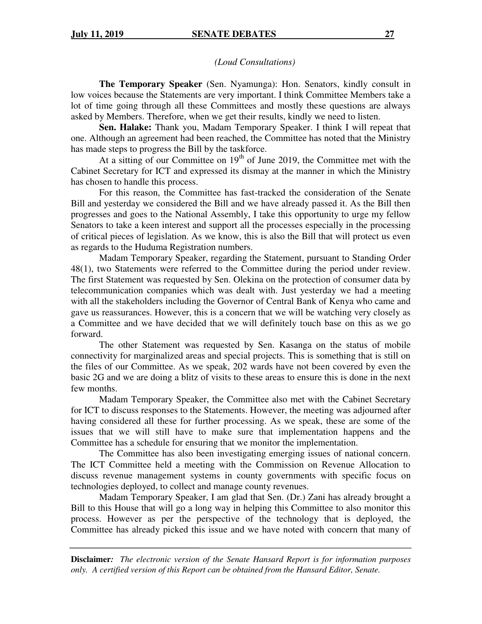#### *(Loud Consultations)*

**The Temporary Speaker** (Sen. Nyamunga): Hon. Senators, kindly consult in low voices because the Statements are very important. I think Committee Members take a lot of time going through all these Committees and mostly these questions are always asked by Members. Therefore, when we get their results, kindly we need to listen.

**Sen. Halake:** Thank you, Madam Temporary Speaker. I think I will repeat that one. Although an agreement had been reached, the Committee has noted that the Ministry has made steps to progress the Bill by the taskforce.

At a sitting of our Committee on  $19<sup>th</sup>$  of June 2019, the Committee met with the Cabinet Secretary for ICT and expressed its dismay at the manner in which the Ministry has chosen to handle this process.

For this reason, the Committee has fast-tracked the consideration of the Senate Bill and yesterday we considered the Bill and we have already passed it. As the Bill then progresses and goes to the National Assembly, I take this opportunity to urge my fellow Senators to take a keen interest and support all the processes especially in the processing of critical pieces of legislation. As we know, this is also the Bill that will protect us even as regards to the Huduma Registration numbers.

Madam Temporary Speaker, regarding the Statement, pursuant to Standing Order 48(1), two Statements were referred to the Committee during the period under review. The first Statement was requested by Sen. Olekina on the protection of consumer data by telecommunication companies which was dealt with. Just yesterday we had a meeting with all the stakeholders including the Governor of Central Bank of Kenya who came and gave us reassurances. However, this is a concern that we will be watching very closely as a Committee and we have decided that we will definitely touch base on this as we go forward.

The other Statement was requested by Sen. Kasanga on the status of mobile connectivity for marginalized areas and special projects. This is something that is still on the files of our Committee. As we speak, 202 wards have not been covered by even the basic 2G and we are doing a blitz of visits to these areas to ensure this is done in the next few months.

Madam Temporary Speaker, the Committee also met with the Cabinet Secretary for ICT to discuss responses to the Statements. However, the meeting was adjourned after having considered all these for further processing. As we speak, these are some of the issues that we will still have to make sure that implementation happens and the Committee has a schedule for ensuring that we monitor the implementation.

The Committee has also been investigating emerging issues of national concern. The ICT Committee held a meeting with the Commission on Revenue Allocation to discuss revenue management systems in county governments with specific focus on technologies deployed, to collect and manage county revenues.

Madam Temporary Speaker, I am glad that Sen. (Dr.) Zani has already brought a Bill to this House that will go a long way in helping this Committee to also monitor this process. However as per the perspective of the technology that is deployed, the Committee has already picked this issue and we have noted with concern that many of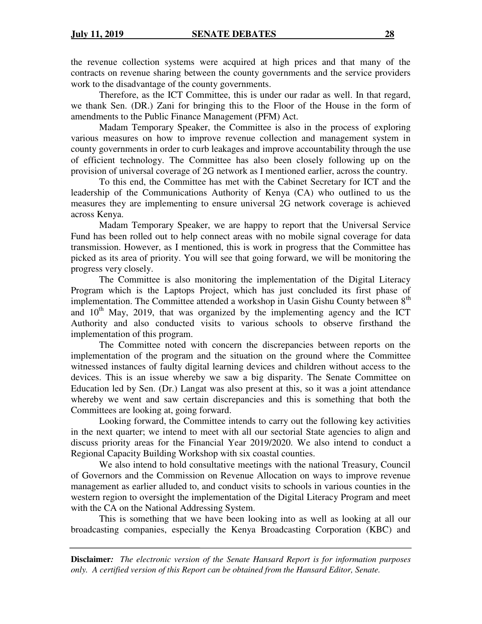the revenue collection systems were acquired at high prices and that many of the contracts on revenue sharing between the county governments and the service providers work to the disadvantage of the county governments.

Therefore, as the ICT Committee, this is under our radar as well. In that regard, we thank Sen. (DR.) Zani for bringing this to the Floor of the House in the form of amendments to the Public Finance Management (PFM) Act.

Madam Temporary Speaker, the Committee is also in the process of exploring various measures on how to improve revenue collection and management system in county governments in order to curb leakages and improve accountability through the use of efficient technology. The Committee has also been closely following up on the provision of universal coverage of 2G network as I mentioned earlier, across the country.

To this end, the Committee has met with the Cabinet Secretary for ICT and the leadership of the Communications Authority of Kenya (CA) who outlined to us the measures they are implementing to ensure universal 2G network coverage is achieved across Kenya.

Madam Temporary Speaker, we are happy to report that the Universal Service Fund has been rolled out to help connect areas with no mobile signal coverage for data transmission. However, as I mentioned, this is work in progress that the Committee has picked as its area of priority. You will see that going forward, we will be monitoring the progress very closely.

The Committee is also monitoring the implementation of the Digital Literacy Program which is the Laptops Project, which has just concluded its first phase of implementation. The Committee attended a workshop in Uasin Gishu County between 8<sup>th</sup> and  $10<sup>th</sup>$  May, 2019, that was organized by the implementing agency and the ICT Authority and also conducted visits to various schools to observe firsthand the implementation of this program.

The Committee noted with concern the discrepancies between reports on the implementation of the program and the situation on the ground where the Committee witnessed instances of faulty digital learning devices and children without access to the devices. This is an issue whereby we saw a big disparity. The Senate Committee on Education led by Sen. (Dr.) Langat was also present at this, so it was a joint attendance whereby we went and saw certain discrepancies and this is something that both the Committees are looking at, going forward.

Looking forward, the Committee intends to carry out the following key activities in the next quarter; we intend to meet with all our sectorial State agencies to align and discuss priority areas for the Financial Year 2019/2020. We also intend to conduct a Regional Capacity Building Workshop with six coastal counties.

We also intend to hold consultative meetings with the national Treasury, Council of Governors and the Commission on Revenue Allocation on ways to improve revenue management as earlier alluded to, and conduct visits to schools in various counties in the western region to oversight the implementation of the Digital Literacy Program and meet with the CA on the National Addressing System.

This is something that we have been looking into as well as looking at all our broadcasting companies, especially the Kenya Broadcasting Corporation (KBC) and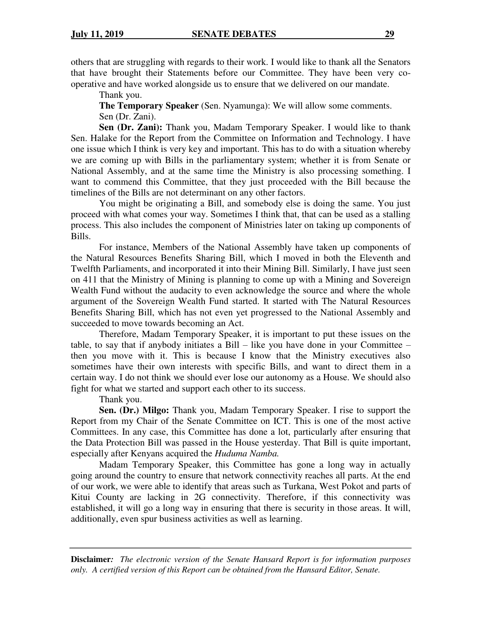others that are struggling with regards to their work. I would like to thank all the Senators that have brought their Statements before our Committee. They have been very cooperative and have worked alongside us to ensure that we delivered on our mandate.

Thank you.

**The Temporary Speaker** (Sen. Nyamunga): We will allow some comments. Sen (Dr. Zani).

**Sen (Dr. Zani):** Thank you, Madam Temporary Speaker. I would like to thank Sen. Halake for the Report from the Committee on Information and Technology. I have one issue which I think is very key and important. This has to do with a situation whereby we are coming up with Bills in the parliamentary system; whether it is from Senate or National Assembly, and at the same time the Ministry is also processing something. I want to commend this Committee, that they just proceeded with the Bill because the timelines of the Bills are not determinant on any other factors.

You might be originating a Bill, and somebody else is doing the same. You just proceed with what comes your way. Sometimes I think that, that can be used as a stalling process. This also includes the component of Ministries later on taking up components of Bills.

For instance, Members of the National Assembly have taken up components of the Natural Resources Benefits Sharing Bill, which I moved in both the Eleventh and Twelfth Parliaments, and incorporated it into their Mining Bill. Similarly, I have just seen on 411 that the Ministry of Mining is planning to come up with a Mining and Sovereign Wealth Fund without the audacity to even acknowledge the source and where the whole argument of the Sovereign Wealth Fund started. It started with The Natural Resources Benefits Sharing Bill, which has not even yet progressed to the National Assembly and succeeded to move towards becoming an Act.

 Therefore, Madam Temporary Speaker, it is important to put these issues on the table, to say that if anybody initiates a Bill – like you have done in your Committee – then you move with it. This is because I know that the Ministry executives also sometimes have their own interests with specific Bills, and want to direct them in a certain way. I do not think we should ever lose our autonomy as a House. We should also fight for what we started and support each other to its success.

Thank you.

**Sen. (Dr.) Milgo:** Thank you, Madam Temporary Speaker. I rise to support the Report from my Chair of the Senate Committee on ICT. This is one of the most active Committees. In any case, this Committee has done a lot, particularly after ensuring that the Data Protection Bill was passed in the House yesterday. That Bill is quite important, especially after Kenyans acquired the *Huduma Namba.*

Madam Temporary Speaker, this Committee has gone a long way in actually going around the country to ensure that network connectivity reaches all parts. At the end of our work, we were able to identify that areas such as Turkana, West Pokot and parts of Kitui County are lacking in 2G connectivity. Therefore, if this connectivity was established, it will go a long way in ensuring that there is security in those areas. It will, additionally, even spur business activities as well as learning.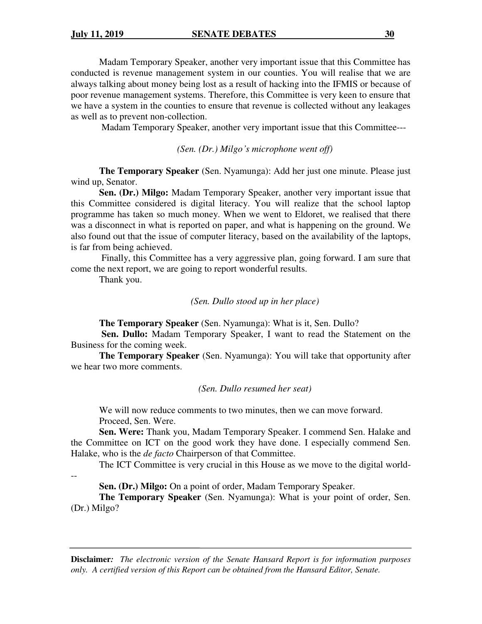Madam Temporary Speaker, another very important issue that this Committee has conducted is revenue management system in our counties. You will realise that we are always talking about money being lost as a result of hacking into the IFMIS or because of poor revenue management systems. Therefore, this Committee is very keen to ensure that we have a system in the counties to ensure that revenue is collected without any leakages as well as to prevent non-collection.

Madam Temporary Speaker, another very important issue that this Committee---

*(Sen. (Dr.) Milgo's microphone went off)* 

**The Temporary Speaker** (Sen. Nyamunga): Add her just one minute. Please just wind up, Senator.

**Sen. (Dr.) Milgo:** Madam Temporary Speaker, another very important issue that this Committee considered is digital literacy. You will realize that the school laptop programme has taken so much money. When we went to Eldoret, we realised that there was a disconnect in what is reported on paper, and what is happening on the ground. We also found out that the issue of computer literacy, based on the availability of the laptops, is far from being achieved.

 Finally, this Committee has a very aggressive plan, going forward. I am sure that come the next report, we are going to report wonderful results.

Thank you.

#### *(Sen. Dullo stood up in her place)*

**The Temporary Speaker** (Sen. Nyamunga): What is it, Sen. Dullo?

**Sen. Dullo:** Madam Temporary Speaker, I want to read the Statement on the Business for the coming week.

**The Temporary Speaker** (Sen. Nyamunga): You will take that opportunity after we hear two more comments.

*(Sen. Dullo resumed her seat)* 

We will now reduce comments to two minutes, then we can move forward. Proceed, Sen. Were.

**Sen. Were:** Thank you, Madam Temporary Speaker. I commend Sen. Halake and the Committee on ICT on the good work they have done. I especially commend Sen. Halake, who is the *de facto* Chairperson of that Committee.

The ICT Committee is very crucial in this House as we move to the digital world-

--

**Sen. (Dr.) Milgo:** On a point of order, Madam Temporary Speaker.

**The Temporary Speaker** (Sen. Nyamunga): What is your point of order, Sen. (Dr.) Milgo?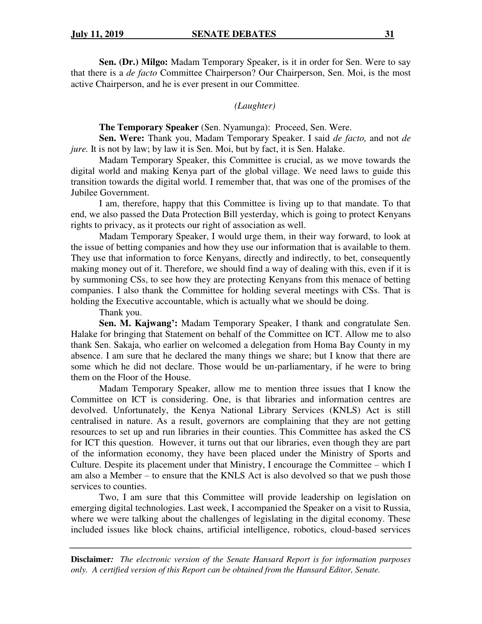**Sen. (Dr.) Milgo:** Madam Temporary Speaker, is it in order for Sen. Were to say that there is a *de facto* Committee Chairperson? Our Chairperson, Sen. Moi, is the most active Chairperson, and he is ever present in our Committee.

*(Laughter)* 

**The Temporary Speaker** (Sen. Nyamunga): Proceed, Sen. Were.

**Sen. Were:** Thank you, Madam Temporary Speaker. I said *de facto,* and not *de jure.* It is not by law; by law it is Sen. Moi, but by fact, it is Sen. Halake.

Madam Temporary Speaker, this Committee is crucial, as we move towards the digital world and making Kenya part of the global village. We need laws to guide this transition towards the digital world. I remember that, that was one of the promises of the Jubilee Government.

I am, therefore, happy that this Committee is living up to that mandate. To that end, we also passed the Data Protection Bill yesterday, which is going to protect Kenyans rights to privacy, as it protects our right of association as well.

Madam Temporary Speaker, I would urge them, in their way forward, to look at the issue of betting companies and how they use our information that is available to them. They use that information to force Kenyans, directly and indirectly, to bet, consequently making money out of it. Therefore, we should find a way of dealing with this, even if it is by summoning CSs, to see how they are protecting Kenyans from this menace of betting companies. I also thank the Committee for holding several meetings with CSs. That is holding the Executive accountable, which is actually what we should be doing.

Thank you.

**Sen. M. Kajwang':** Madam Temporary Speaker, I thank and congratulate Sen. Halake for bringing that Statement on behalf of the Committee on ICT. Allow me to also thank Sen. Sakaja, who earlier on welcomed a delegation from Homa Bay County in my absence. I am sure that he declared the many things we share; but I know that there are some which he did not declare. Those would be un-parliamentary, if he were to bring them on the Floor of the House.

Madam Temporary Speaker, allow me to mention three issues that I know the Committee on ICT is considering. One, is that libraries and information centres are devolved. Unfortunately, the Kenya National Library Services (KNLS) Act is still centralised in nature. As a result, governors are complaining that they are not getting resources to set up and run libraries in their counties. This Committee has asked the CS for ICT this question. However, it turns out that our libraries, even though they are part of the information economy, they have been placed under the Ministry of Sports and Culture. Despite its placement under that Ministry, I encourage the Committee – which I am also a Member – to ensure that the KNLS Act is also devolved so that we push those services to counties.

Two, I am sure that this Committee will provide leadership on legislation on emerging digital technologies. Last week, I accompanied the Speaker on a visit to Russia, where we were talking about the challenges of legislating in the digital economy. These included issues like block chains, artificial intelligence, robotics, cloud-based services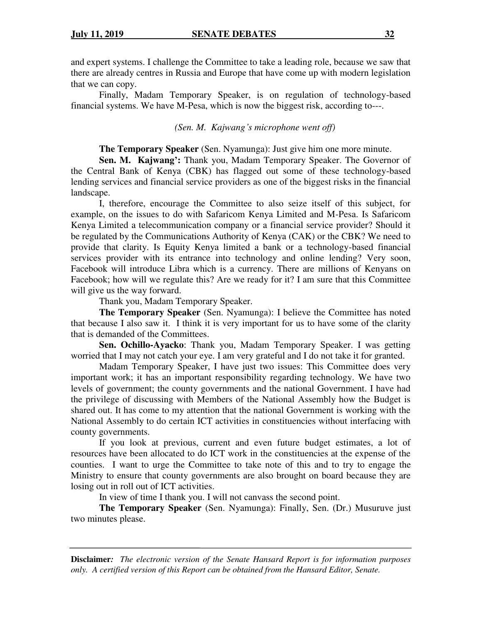and expert systems. I challenge the Committee to take a leading role, because we saw that there are already centres in Russia and Europe that have come up with modern legislation that we can copy.

Finally, Madam Temporary Speaker, is on regulation of technology-based financial systems. We have M-Pesa, which is now the biggest risk, according to---.

*(Sen. M. Kajwang's microphone went off)* 

**The Temporary Speaker** (Sen. Nyamunga): Just give him one more minute.

**Sen. M. Kajwang':** Thank you, Madam Temporary Speaker. The Governor of the Central Bank of Kenya (CBK) has flagged out some of these technology-based lending services and financial service providers as one of the biggest risks in the financial landscape.

I, therefore, encourage the Committee to also seize itself of this subject, for example, on the issues to do with Safaricom Kenya Limited and M-Pesa. Is Safaricom Kenya Limited a telecommunication company or a financial service provider? Should it be regulated by the Communications Authority of Kenya (CAK) or the CBK? We need to provide that clarity. Is Equity Kenya limited a bank or a technology-based financial services provider with its entrance into technology and online lending? Very soon, Facebook will introduce Libra which is a currency. There are millions of Kenyans on Facebook; how will we regulate this? Are we ready for it? I am sure that this Committee will give us the way forward.

Thank you, Madam Temporary Speaker.

**The Temporary Speaker** (Sen. Nyamunga): I believe the Committee has noted that because I also saw it. I think it is very important for us to have some of the clarity that is demanded of the Committees.

**Sen. Ochillo-Ayacko**: Thank you, Madam Temporary Speaker. I was getting worried that I may not catch your eye. I am very grateful and I do not take it for granted.

Madam Temporary Speaker, I have just two issues: This Committee does very important work; it has an important responsibility regarding technology. We have two levels of government; the county governments and the national Government. I have had the privilege of discussing with Members of the National Assembly how the Budget is shared out. It has come to my attention that the national Government is working with the National Assembly to do certain ICT activities in constituencies without interfacing with county governments.

If you look at previous, current and even future budget estimates, a lot of resources have been allocated to do ICT work in the constituencies at the expense of the counties. I want to urge the Committee to take note of this and to try to engage the Ministry to ensure that county governments are also brought on board because they are losing out in roll out of ICT activities.

In view of time I thank you. I will not canvass the second point.

**The Temporary Speaker** (Sen. Nyamunga): Finally, Sen. (Dr.) Musuruve just two minutes please.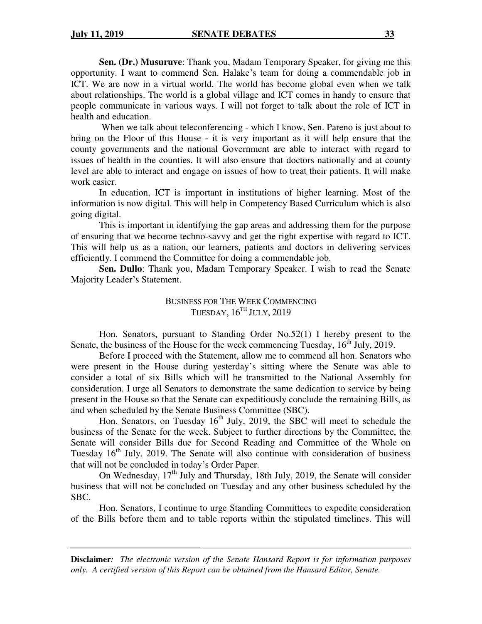**Sen. (Dr.) Musuruve**: Thank you, Madam Temporary Speaker, for giving me this opportunity. I want to commend Sen. Halake's team for doing a commendable job in ICT. We are now in a virtual world. The world has become global even when we talk about relationships. The world is a global village and ICT comes in handy to ensure that people communicate in various ways. I will not forget to talk about the role of ICT in health and education.

When we talk about teleconferencing - which I know, Sen. Pareno is just about to bring on the Floor of this House - it is very important as it will help ensure that the county governments and the national Government are able to interact with regard to issues of health in the counties. It will also ensure that doctors nationally and at county level are able to interact and engage on issues of how to treat their patients. It will make work easier.

In education, ICT is important in institutions of higher learning. Most of the information is now digital. This will help in Competency Based Curriculum which is also going digital.

This is important in identifying the gap areas and addressing them for the purpose of ensuring that we become techno-savvy and get the right expertise with regard to ICT. This will help us as a nation, our learners, patients and doctors in delivering services efficiently. I commend the Committee for doing a commendable job.

**Sen. Dullo**: Thank you, Madam Temporary Speaker. I wish to read the Senate Majority Leader's Statement.

> BUSINESS FOR THE WEEK COMMENCING TUESDAY,  $16^{TH}$  JULY,  $2019$

Hon. Senators, pursuant to Standing Order No.52(1) I hereby present to the Senate, the business of the House for the week commencing Tuesday,  $16<sup>th</sup>$  July, 2019.

Before I proceed with the Statement, allow me to commend all hon. Senators who were present in the House during yesterday's sitting where the Senate was able to consider a total of six Bills which will be transmitted to the National Assembly for consideration. I urge all Senators to demonstrate the same dedication to service by being present in the House so that the Senate can expeditiously conclude the remaining Bills, as and when scheduled by the Senate Business Committee (SBC).

Hon. Senators, on Tuesday 16<sup>th</sup> July, 2019, the SBC will meet to schedule the business of the Senate for the week. Subject to further directions by the Committee, the Senate will consider Bills due for Second Reading and Committee of the Whole on Tuesday  $16<sup>th</sup>$  July, 2019. The Senate will also continue with consideration of business that will not be concluded in today's Order Paper.

On Wednesday,  $17<sup>th</sup>$  July and Thursday, 18th July, 2019, the Senate will consider business that will not be concluded on Tuesday and any other business scheduled by the SBC.

Hon. Senators, I continue to urge Standing Committees to expedite consideration of the Bills before them and to table reports within the stipulated timelines. This will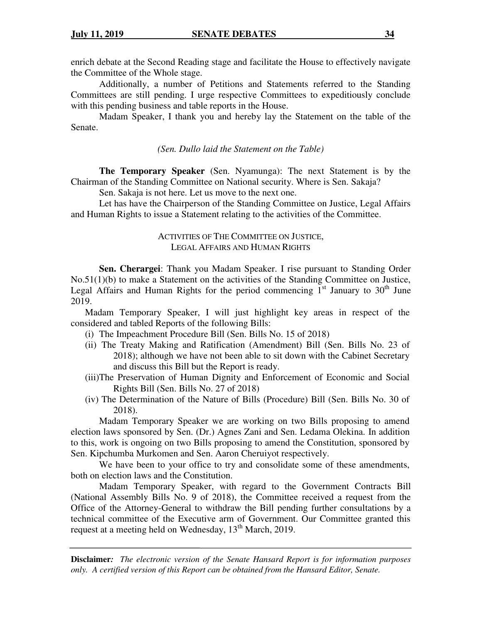enrich debate at the Second Reading stage and facilitate the House to effectively navigate the Committee of the Whole stage.

Additionally, a number of Petitions and Statements referred to the Standing Committees are still pending. I urge respective Committees to expeditiously conclude with this pending business and table reports in the House.

Madam Speaker, I thank you and hereby lay the Statement on the table of the Senate.

*(Sen. Dullo laid the Statement on the Table)* 

**The Temporary Speaker** (Sen. Nyamunga): The next Statement is by the Chairman of the Standing Committee on National security. Where is Sen. Sakaja?

Sen. Sakaja is not here. Let us move to the next one.

Let has have the Chairperson of the Standing Committee on Justice, Legal Affairs and Human Rights to issue a Statement relating to the activities of the Committee.

## ACTIVITIES OF THE COMMITTEE ON JUSTICE, LEGAL AFFAIRS AND HUMAN RIGHTS

**Sen. Cherargei**: Thank you Madam Speaker. I rise pursuant to Standing Order No.51(1)(b) to make a Statement on the activities of the Standing Committee on Justice, Legal Affairs and Human Rights for the period commencing  $1<sup>st</sup>$  January to  $30<sup>th</sup>$  June 2019.

Madam Temporary Speaker, I will just highlight key areas in respect of the considered and tabled Reports of the following Bills:

- (i) The Impeachment Procedure Bill (Sen. Bills No. 15 of 2018)
- (ii) The Treaty Making and Ratification (Amendment) Bill (Sen. Bills No. 23 of 2018); although we have not been able to sit down with the Cabinet Secretary and discuss this Bill but the Report is ready.
- (iii)The Preservation of Human Dignity and Enforcement of Economic and Social Rights Bill (Sen. Bills No. 27 of 2018)
- (iv) The Determination of the Nature of Bills (Procedure) Bill (Sen. Bills No. 30 of 2018).

Madam Temporary Speaker we are working on two Bills proposing to amend election laws sponsored by Sen. (Dr.) Agnes Zani and Sen. Ledama Olekina. In addition to this, work is ongoing on two Bills proposing to amend the Constitution, sponsored by Sen. Kipchumba Murkomen and Sen. Aaron Cheruiyot respectively.

We have been to your office to try and consolidate some of these amendments, both on election laws and the Constitution.

Madam Temporary Speaker, with regard to the Government Contracts Bill (National Assembly Bills No. 9 of 2018), the Committee received a request from the Office of the Attorney-General to withdraw the Bill pending further consultations by a technical committee of the Executive arm of Government. Our Committee granted this request at a meeting held on Wednesday, 13<sup>th</sup> March, 2019.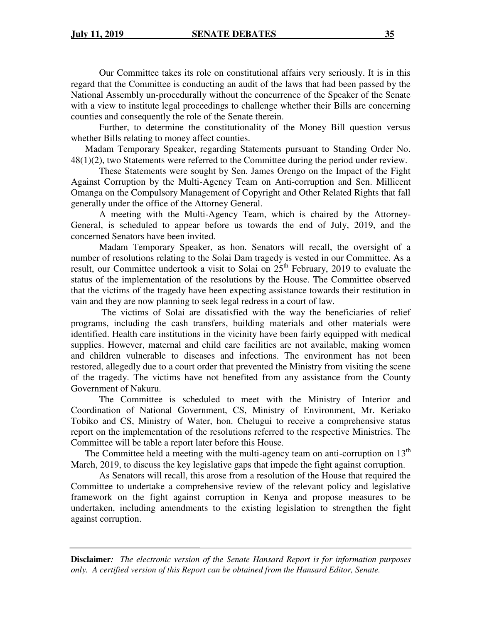Our Committee takes its role on constitutional affairs very seriously. It is in this regard that the Committee is conducting an audit of the laws that had been passed by the National Assembly un-procedurally without the concurrence of the Speaker of the Senate with a view to institute legal proceedings to challenge whether their Bills are concerning counties and consequently the role of the Senate therein.

Further, to determine the constitutionality of the Money Bill question versus whether Bills relating to money affect counties.

Madam Temporary Speaker, regarding Statements pursuant to Standing Order No. 48(1)(2), two Statements were referred to the Committee during the period under review.

These Statements were sought by Sen. James Orengo on the Impact of the Fight Against Corruption by the Multi-Agency Team on Anti-corruption and Sen. Millicent Omanga on the Compulsory Management of Copyright and Other Related Rights that fall generally under the office of the Attorney General.

A meeting with the Multi-Agency Team, which is chaired by the Attorney-General, is scheduled to appear before us towards the end of July, 2019, and the concerned Senators have been invited.

Madam Temporary Speaker, as hon. Senators will recall, the oversight of a number of resolutions relating to the Solai Dam tragedy is vested in our Committee. As a result, our Committee undertook a visit to Solai on  $25<sup>th</sup>$  February, 2019 to evaluate the status of the implementation of the resolutions by the House. The Committee observed that the victims of the tragedy have been expecting assistance towards their restitution in vain and they are now planning to seek legal redress in a court of law.

 The victims of Solai are dissatisfied with the way the beneficiaries of relief programs, including the cash transfers, building materials and other materials were identified. Health care institutions in the vicinity have been fairly equipped with medical supplies. However, maternal and child care facilities are not available, making women and children vulnerable to diseases and infections. The environment has not been restored, allegedly due to a court order that prevented the Ministry from visiting the scene of the tragedy. The victims have not benefited from any assistance from the County Government of Nakuru.

The Committee is scheduled to meet with the Ministry of Interior and Coordination of National Government, CS, Ministry of Environment, Mr. Keriako Tobiko and CS, Ministry of Water, hon. Chelugui to receive a comprehensive status report on the implementation of the resolutions referred to the respective Ministries. The Committee will be table a report later before this House.

The Committee held a meeting with the multi-agency team on anti-corruption on  $13<sup>th</sup>$ March, 2019, to discuss the key legislative gaps that impede the fight against corruption.

As Senators will recall, this arose from a resolution of the House that required the Committee to undertake a comprehensive review of the relevant policy and legislative framework on the fight against corruption in Kenya and propose measures to be undertaken, including amendments to the existing legislation to strengthen the fight against corruption.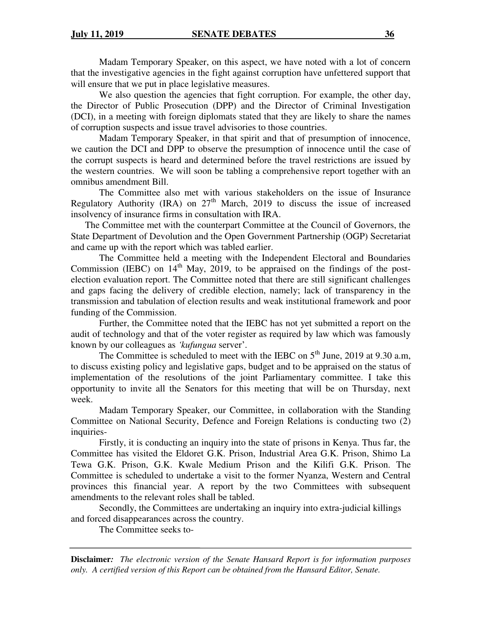Madam Temporary Speaker, on this aspect, we have noted with a lot of concern that the investigative agencies in the fight against corruption have unfettered support that will ensure that we put in place legislative measures.

We also question the agencies that fight corruption. For example, the other day, the Director of Public Prosecution (DPP) and the Director of Criminal Investigation (DCI), in a meeting with foreign diplomats stated that they are likely to share the names of corruption suspects and issue travel advisories to those countries.

Madam Temporary Speaker, in that spirit and that of presumption of innocence, we caution the DCI and DPP to observe the presumption of innocence until the case of the corrupt suspects is heard and determined before the travel restrictions are issued by the western countries. We will soon be tabling a comprehensive report together with an omnibus amendment Bill.

The Committee also met with various stakeholders on the issue of Insurance Regulatory Authority (IRA) on  $27<sup>th</sup>$  March, 2019 to discuss the issue of increased insolvency of insurance firms in consultation with IRA.

The Committee met with the counterpart Committee at the Council of Governors, the State Department of Devolution and the Open Government Partnership (OGP) Secretariat and came up with the report which was tabled earlier.

The Committee held a meeting with the Independent Electoral and Boundaries Commission (IEBC) on  $14<sup>th</sup>$  May, 2019, to be appraised on the findings of the postelection evaluation report. The Committee noted that there are still significant challenges and gaps facing the delivery of credible election, namely; lack of transparency in the transmission and tabulation of election results and weak institutional framework and poor funding of the Commission.

Further, the Committee noted that the IEBC has not yet submitted a report on the audit of technology and that of the voter register as required by law which was famously known by our colleagues as *'kufungua* server'.

The Committee is scheduled to meet with the IEBC on  $5<sup>th</sup>$  June, 2019 at 9.30 a.m, to discuss existing policy and legislative gaps, budget and to be appraised on the status of implementation of the resolutions of the joint Parliamentary committee. I take this opportunity to invite all the Senators for this meeting that will be on Thursday, next week.

Madam Temporary Speaker, our Committee, in collaboration with the Standing Committee on National Security, Defence and Foreign Relations is conducting two (2) inquiries-

 Firstly, it is conducting an inquiry into the state of prisons in Kenya. Thus far, the Committee has visited the Eldoret G.K. Prison, Industrial Area G.K. Prison, Shimo La Tewa G.K. Prison, G.K. Kwale Medium Prison and the Kilifi G.K. Prison. The Committee is scheduled to undertake a visit to the former Nyanza, Western and Central provinces this financial year. A report by the two Committees with subsequent amendments to the relevant roles shall be tabled.

Secondly, the Committees are undertaking an inquiry into extra-judicial killings and forced disappearances across the country.

The Committee seeks to-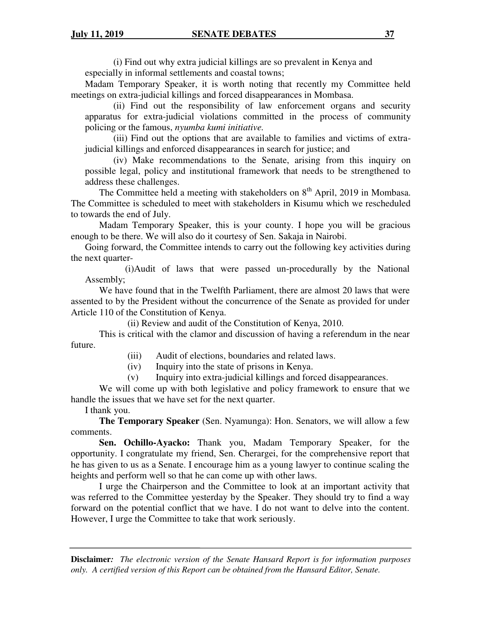(i) Find out why extra judicial killings are so prevalent in Kenya and especially in informal settlements and coastal towns;

Madam Temporary Speaker, it is worth noting that recently my Committee held meetings on extra-judicial killings and forced disappearances in Mombasa.

(ii) Find out the responsibility of law enforcement organs and security apparatus for extra-judicial violations committed in the process of community policing or the famous, *nyumba kumi initiative.* 

(iii) Find out the options that are available to families and victims of extrajudicial killings and enforced disappearances in search for justice; and

(iv) Make recommendations to the Senate, arising from this inquiry on possible legal, policy and institutional framework that needs to be strengthened to address these challenges.

The Committee held a meeting with stakeholders on  $8<sup>th</sup>$  April, 2019 in Mombasa. The Committee is scheduled to meet with stakeholders in Kisumu which we rescheduled to towards the end of July.

Madam Temporary Speaker, this is your county. I hope you will be gracious enough to be there. We will also do it courtesy of Sen. Sakaja in Nairobi.

Going forward, the Committee intends to carry out the following key activities during the next quarter-

 (i)Audit of laws that were passed un-procedurally by the National Assembly;

We have found that in the Twelfth Parliament, there are almost 20 laws that were assented to by the President without the concurrence of the Senate as provided for under Article 110 of the Constitution of Kenya.

(ii) Review and audit of the Constitution of Kenya, 2010.

This is critical with the clamor and discussion of having a referendum in the near future.

(iii) Audit of elections, boundaries and related laws.

(iv) Inquiry into the state of prisons in Kenya.

(v) Inquiry into extra-judicial killings and forced disappearances.

We will come up with both legislative and policy framework to ensure that we handle the issues that we have set for the next quarter.

I thank you.

**The Temporary Speaker** (Sen. Nyamunga): Hon. Senators, we will allow a few comments.

**Sen. Ochillo-Ayacko:** Thank you, Madam Temporary Speaker, for the opportunity. I congratulate my friend, Sen. Cherargei, for the comprehensive report that he has given to us as a Senate. I encourage him as a young lawyer to continue scaling the heights and perform well so that he can come up with other laws.

I urge the Chairperson and the Committee to look at an important activity that was referred to the Committee yesterday by the Speaker. They should try to find a way forward on the potential conflict that we have. I do not want to delve into the content. However, I urge the Committee to take that work seriously.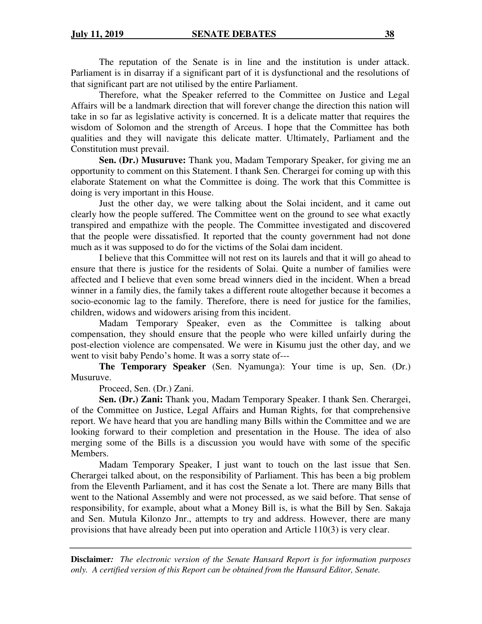The reputation of the Senate is in line and the institution is under attack. Parliament is in disarray if a significant part of it is dysfunctional and the resolutions of that significant part are not utilised by the entire Parliament.

Therefore, what the Speaker referred to the Committee on Justice and Legal Affairs will be a landmark direction that will forever change the direction this nation will take in so far as legislative activity is concerned. It is a delicate matter that requires the wisdom of Solomon and the strength of Arceus. I hope that the Committee has both qualities and they will navigate this delicate matter. Ultimately, Parliament and the Constitution must prevail.

**Sen. (Dr.) Musuruve:** Thank you, Madam Temporary Speaker, for giving me an opportunity to comment on this Statement. I thank Sen. Cherargei for coming up with this elaborate Statement on what the Committee is doing. The work that this Committee is doing is very important in this House.

Just the other day, we were talking about the Solai incident, and it came out clearly how the people suffered. The Committee went on the ground to see what exactly transpired and empathize with the people. The Committee investigated and discovered that the people were dissatisfied. It reported that the county government had not done much as it was supposed to do for the victims of the Solai dam incident.

I believe that this Committee will not rest on its laurels and that it will go ahead to ensure that there is justice for the residents of Solai. Quite a number of families were affected and I believe that even some bread winners died in the incident. When a bread winner in a family dies, the family takes a different route altogether because it becomes a socio-economic lag to the family. Therefore, there is need for justice for the families, children, widows and widowers arising from this incident.

Madam Temporary Speaker, even as the Committee is talking about compensation, they should ensure that the people who were killed unfairly during the post-election violence are compensated. We were in Kisumu just the other day, and we went to visit baby Pendo's home. It was a sorry state of---

**The Temporary Speaker** (Sen. Nyamunga): Your time is up, Sen. (Dr.) Musuruve.

Proceed, Sen. (Dr.) Zani.

**Sen. (Dr.) Zani:** Thank you, Madam Temporary Speaker. I thank Sen. Cherargei, of the Committee on Justice, Legal Affairs and Human Rights, for that comprehensive report. We have heard that you are handling many Bills within the Committee and we are looking forward to their completion and presentation in the House. The idea of also merging some of the Bills is a discussion you would have with some of the specific Members.

Madam Temporary Speaker, I just want to touch on the last issue that Sen. Cherargei talked about, on the responsibility of Parliament. This has been a big problem from the Eleventh Parliament, and it has cost the Senate a lot. There are many Bills that went to the National Assembly and were not processed, as we said before. That sense of responsibility, for example, about what a Money Bill is, is what the Bill by Sen. Sakaja and Sen. Mutula Kilonzo Jnr., attempts to try and address. However, there are many provisions that have already been put into operation and Article 110(3) is very clear.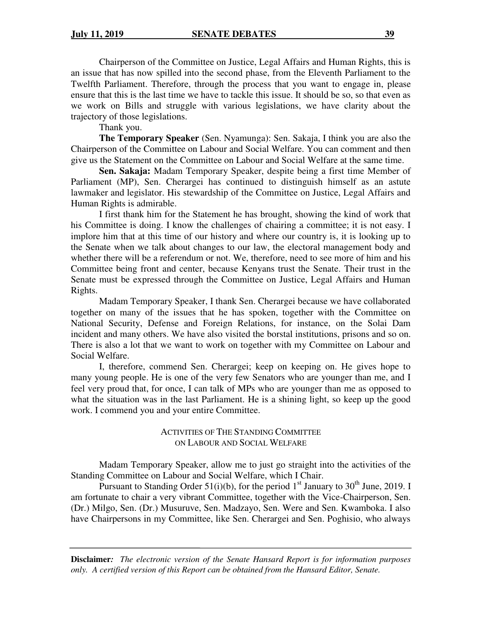Chairperson of the Committee on Justice, Legal Affairs and Human Rights, this is an issue that has now spilled into the second phase, from the Eleventh Parliament to the Twelfth Parliament. Therefore, through the process that you want to engage in, please ensure that this is the last time we have to tackle this issue. It should be so, so that even as we work on Bills and struggle with various legislations, we have clarity about the trajectory of those legislations.

Thank you.

**The Temporary Speaker** (Sen. Nyamunga): Sen. Sakaja, I think you are also the Chairperson of the Committee on Labour and Social Welfare. You can comment and then give us the Statement on the Committee on Labour and Social Welfare at the same time.

**Sen. Sakaja:** Madam Temporary Speaker, despite being a first time Member of Parliament (MP), Sen. Cherargei has continued to distinguish himself as an astute lawmaker and legislator. His stewardship of the Committee on Justice, Legal Affairs and Human Rights is admirable.

I first thank him for the Statement he has brought, showing the kind of work that his Committee is doing. I know the challenges of chairing a committee; it is not easy. I implore him that at this time of our history and where our country is, it is looking up to the Senate when we talk about changes to our law, the electoral management body and whether there will be a referendum or not. We, therefore, need to see more of him and his Committee being front and center, because Kenyans trust the Senate. Their trust in the Senate must be expressed through the Committee on Justice, Legal Affairs and Human Rights.

Madam Temporary Speaker, I thank Sen. Cherargei because we have collaborated together on many of the issues that he has spoken, together with the Committee on National Security, Defense and Foreign Relations, for instance, on the Solai Dam incident and many others. We have also visited the borstal institutions, prisons and so on. There is also a lot that we want to work on together with my Committee on Labour and Social Welfare.

I, therefore, commend Sen. Cherargei; keep on keeping on. He gives hope to many young people. He is one of the very few Senators who are younger than me, and I feel very proud that, for once, I can talk of MPs who are younger than me as opposed to what the situation was in the last Parliament. He is a shining light, so keep up the good work. I commend you and your entire Committee.

> ACTIVITIES OF THE STANDING COMMITTEE ON LABOUR AND SOCIAL WELFARE

Madam Temporary Speaker, allow me to just go straight into the activities of the Standing Committee on Labour and Social Welfare, which I Chair.

Pursuant to Standing Order  $51(i)(b)$ , for the period  $1<sup>st</sup>$  January to  $30<sup>th</sup>$  June, 2019. I am fortunate to chair a very vibrant Committee, together with the Vice-Chairperson, Sen. (Dr.) Milgo, Sen. (Dr.) Musuruve, Sen. Madzayo, Sen. Were and Sen. Kwamboka. I also have Chairpersons in my Committee, like Sen. Cherargei and Sen. Poghisio, who always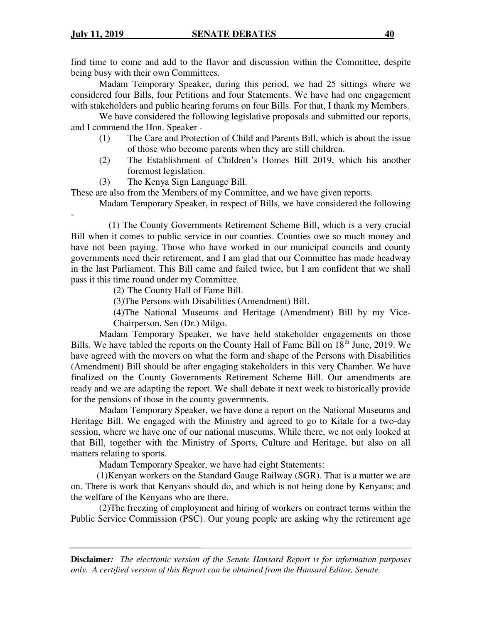find time to come and add to the flavor and discussion within the Committee, despite being busy with their own Committees.

Madam Temporary Speaker, during this period, we had 25 sittings where we considered four Bills, four Petitions and four Statements. We have had one engagement with stakeholders and public hearing forums on four Bills. For that, I thank my Members.

We have considered the following legislative proposals and submitted our reports, and I commend the Hon. Speaker -

- (1) The Care and Protection of Child and Parents Bill, which is about the issue of those who become parents when they are still children.
- (2) The Establishment of Children's Homes Bill 2019, which his another foremost legislation.
- (3) The Kenya Sign Language Bill.

These are also from the Members of my Committee, and we have given reports.

Madam Temporary Speaker, in respect of Bills, we have considered the following

- (1) The County Governments Retirement Scheme Bill, which is a very crucial Bill when it comes to public service in our counties. Counties owe so much money and have not been paying. Those who have worked in our municipal councils and county governments need their retirement, and I am glad that our Committee has made headway in the last Parliament. This Bill came and failed twice, but I am confident that we shall pass it this time round under my Committee.

(2) The County Hall of Fame Bill.

(3)The Persons with Disabilities (Amendment) Bill.

(4)The National Museums and Heritage (Amendment) Bill by my Vice-Chairperson, Sen (Dr.) Milgo.

Madam Temporary Speaker, we have held stakeholder engagements on those Bills. We have tabled the reports on the County Hall of Fame Bill on  $18<sup>th</sup>$  June, 2019. We have agreed with the movers on what the form and shape of the Persons with Disabilities (Amendment) Bill should be after engaging stakeholders in this very Chamber. We have finalized on the County Governments Retirement Scheme Bill. Our amendments are ready and we are adapting the report. We shall debate it next week to historically provide for the pensions of those in the county governments.

Madam Temporary Speaker, we have done a report on the National Museums and Heritage Bill. We engaged with the Ministry and agreed to go to Kitale for a two-day session, where we have one of our national museums. While there, we not only looked at that Bill, together with the Ministry of Sports, Culture and Heritage, but also on all matters relating to sports.

Madam Temporary Speaker, we have had eight Statements:

 (1)Kenyan workers on the Standard Gauge Railway (SGR). That is a matter we are on. There is work that Kenyans should do, and which is not being done by Kenyans; and the welfare of the Kenyans who are there.

 (2)The freezing of employment and hiring of workers on contract terms within the Public Service Commission (PSC). Our young people are asking why the retirement age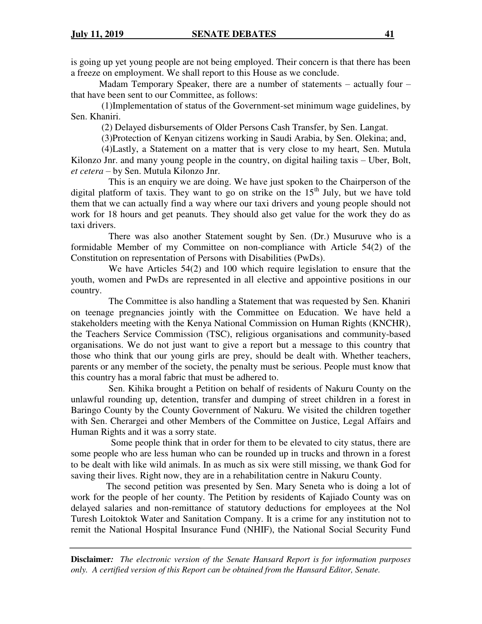is going up yet young people are not being employed. Their concern is that there has been a freeze on employment. We shall report to this House as we conclude.

Madam Temporary Speaker, there are a number of statements  $-$  actually four  $$ that have been sent to our Committee, as follows:

 (1)Implementation of status of the Government-set minimum wage guidelines, by Sen. Khaniri.

(2) Delayed disbursements of Older Persons Cash Transfer, by Sen. Langat.

(3)Protection of Kenyan citizens working in Saudi Arabia, by Sen. Olekina; and,

 (4)Lastly, a Statement on a matter that is very close to my heart, Sen. Mutula Kilonzo Jnr. and many young people in the country, on digital hailing taxis – Uber, Bolt, *et cetera* – by Sen. Mutula Kilonzo Jnr.

 This is an enquiry we are doing. We have just spoken to the Chairperson of the digital platform of taxis. They want to go on strike on the  $15<sup>th</sup>$  July, but we have told them that we can actually find a way where our taxi drivers and young people should not work for 18 hours and get peanuts. They should also get value for the work they do as taxi drivers.

 There was also another Statement sought by Sen. (Dr.) Musuruve who is a formidable Member of my Committee on non-compliance with Article 54(2) of the Constitution on representation of Persons with Disabilities (PwDs).

 We have Articles 54(2) and 100 which require legislation to ensure that the youth, women and PwDs are represented in all elective and appointive positions in our country.

 The Committee is also handling a Statement that was requested by Sen. Khaniri on teenage pregnancies jointly with the Committee on Education. We have held a stakeholders meeting with the Kenya National Commission on Human Rights (KNCHR), the Teachers Service Commission (TSC), religious organisations and community-based organisations. We do not just want to give a report but a message to this country that those who think that our young girls are prey, should be dealt with. Whether teachers, parents or any member of the society, the penalty must be serious. People must know that this country has a moral fabric that must be adhered to.

 Sen. Kihika brought a Petition on behalf of residents of Nakuru County on the unlawful rounding up, detention, transfer and dumping of street children in a forest in Baringo County by the County Government of Nakuru. We visited the children together with Sen. Cherargei and other Members of the Committee on Justice, Legal Affairs and Human Rights and it was a sorry state.

 Some people think that in order for them to be elevated to city status, there are some people who are less human who can be rounded up in trucks and thrown in a forest to be dealt with like wild animals. In as much as six were still missing, we thank God for saving their lives. Right now, they are in a rehabilitation centre in Nakuru County.

 The second petition was presented by Sen. Mary Seneta who is doing a lot of work for the people of her county. The Petition by residents of Kajiado County was on delayed salaries and non-remittance of statutory deductions for employees at the Nol Turesh Loitoktok Water and Sanitation Company. It is a crime for any institution not to remit the National Hospital Insurance Fund (NHIF), the National Social Security Fund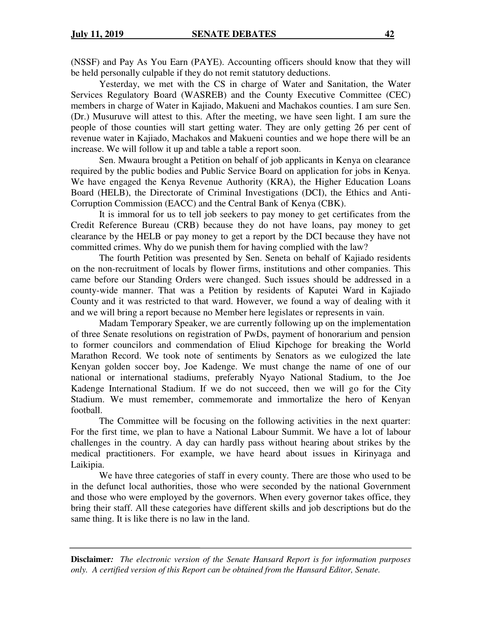(NSSF) and Pay As You Earn (PAYE). Accounting officers should know that they will be held personally culpable if they do not remit statutory deductions.

Yesterday, we met with the CS in charge of Water and Sanitation, the Water Services Regulatory Board (WASREB) and the County Executive Committee (CEC) members in charge of Water in Kajiado, Makueni and Machakos counties. I am sure Sen. (Dr.) Musuruve will attest to this. After the meeting, we have seen light. I am sure the people of those counties will start getting water. They are only getting 26 per cent of revenue water in Kajiado, Machakos and Makueni counties and we hope there will be an increase. We will follow it up and table a table a report soon.

Sen. Mwaura brought a Petition on behalf of job applicants in Kenya on clearance required by the public bodies and Public Service Board on application for jobs in Kenya. We have engaged the Kenya Revenue Authority (KRA), the Higher Education Loans Board (HELB), the Directorate of Criminal Investigations (DCI), the Ethics and Anti-Corruption Commission (EACC) and the Central Bank of Kenya (CBK).

It is immoral for us to tell job seekers to pay money to get certificates from the Credit Reference Bureau (CRB) because they do not have loans, pay money to get clearance by the HELB or pay money to get a report by the DCI because they have not committed crimes. Why do we punish them for having complied with the law?

The fourth Petition was presented by Sen. Seneta on behalf of Kajiado residents on the non-recruitment of locals by flower firms, institutions and other companies. This came before our Standing Orders were changed. Such issues should be addressed in a county-wide manner. That was a Petition by residents of Kaputei Ward in Kajiado County and it was restricted to that ward. However, we found a way of dealing with it and we will bring a report because no Member here legislates or represents in vain.

Madam Temporary Speaker, we are currently following up on the implementation of three Senate resolutions on registration of PwDs, payment of honorarium and pension to former councilors and commendation of Eliud Kipchoge for breaking the World Marathon Record. We took note of sentiments by Senators as we eulogized the late Kenyan golden soccer boy, Joe Kadenge. We must change the name of one of our national or international stadiums, preferably Nyayo National Stadium, to the Joe Kadenge International Stadium. If we do not succeed, then we will go for the City Stadium. We must remember, commemorate and immortalize the hero of Kenyan football.

The Committee will be focusing on the following activities in the next quarter: For the first time, we plan to have a National Labour Summit. We have a lot of labour challenges in the country. A day can hardly pass without hearing about strikes by the medical practitioners. For example, we have heard about issues in Kirinyaga and Laikipia.

We have three categories of staff in every county. There are those who used to be in the defunct local authorities, those who were seconded by the national Government and those who were employed by the governors. When every governor takes office, they bring their staff. All these categories have different skills and job descriptions but do the same thing. It is like there is no law in the land.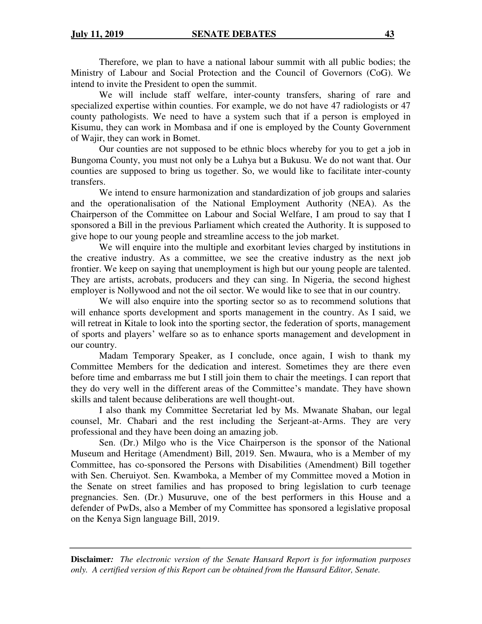Therefore, we plan to have a national labour summit with all public bodies; the Ministry of Labour and Social Protection and the Council of Governors (CoG). We intend to invite the President to open the summit.

We will include staff welfare, inter-county transfers, sharing of rare and specialized expertise within counties. For example, we do not have 47 radiologists or 47 county pathologists. We need to have a system such that if a person is employed in Kisumu, they can work in Mombasa and if one is employed by the County Government of Wajir, they can work in Bomet.

Our counties are not supposed to be ethnic blocs whereby for you to get a job in Bungoma County, you must not only be a Luhya but a Bukusu. We do not want that. Our counties are supposed to bring us together. So, we would like to facilitate inter-county transfers.

We intend to ensure harmonization and standardization of job groups and salaries and the operationalisation of the National Employment Authority (NEA). As the Chairperson of the Committee on Labour and Social Welfare, I am proud to say that I sponsored a Bill in the previous Parliament which created the Authority. It is supposed to give hope to our young people and streamline access to the job market.

We will enquire into the multiple and exorbitant levies charged by institutions in the creative industry. As a committee, we see the creative industry as the next job frontier. We keep on saying that unemployment is high but our young people are talented. They are artists, acrobats, producers and they can sing. In Nigeria, the second highest employer is Nollywood and not the oil sector. We would like to see that in our country.

We will also enquire into the sporting sector so as to recommend solutions that will enhance sports development and sports management in the country. As I said, we will retreat in Kitale to look into the sporting sector, the federation of sports, management of sports and players' welfare so as to enhance sports management and development in our country.

Madam Temporary Speaker, as I conclude, once again, I wish to thank my Committee Members for the dedication and interest. Sometimes they are there even before time and embarrass me but I still join them to chair the meetings. I can report that they do very well in the different areas of the Committee's mandate. They have shown skills and talent because deliberations are well thought-out.

I also thank my Committee Secretariat led by Ms. Mwanate Shaban, our legal counsel, Mr. Chabari and the rest including the Serjeant-at-Arms. They are very professional and they have been doing an amazing job.

Sen. (Dr.) Milgo who is the Vice Chairperson is the sponsor of the National Museum and Heritage (Amendment) Bill, 2019. Sen. Mwaura, who is a Member of my Committee, has co-sponsored the Persons with Disabilities (Amendment) Bill together with Sen. Cheruiyot. Sen. Kwamboka, a Member of my Committee moved a Motion in the Senate on street families and has proposed to bring legislation to curb teenage pregnancies. Sen. (Dr.) Musuruve, one of the best performers in this House and a defender of PwDs, also a Member of my Committee has sponsored a legislative proposal on the Kenya Sign language Bill, 2019.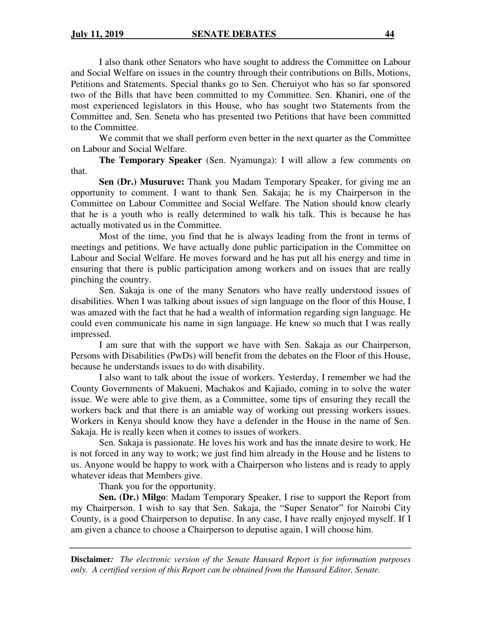I also thank other Senators who have sought to address the Committee on Labour and Social Welfare on issues in the country through their contributions on Bills, Motions, Petitions and Statements. Special thanks go to Sen. Cheruiyot who has so far sponsored two of the Bills that have been committed to my Committee. Sen. Khaniri, one of the most experienced legislators in this House, who has sought two Statements from the Committee and, Sen. Seneta who has presented two Petitions that have been committed to the Committee.

We commit that we shall perform even better in the next quarter as the Committee on Labour and Social Welfare.

**The Temporary Speaker** (Sen. Nyamunga): I will allow a few comments on that.

 **Sen (Dr.) Musuruve:** Thank you Madam Temporary Speaker, for giving me an opportunity to comment. I want to thank Sen. Sakaja; he is my Chairperson in the Committee on Labour Committee and Social Welfare. The Nation should know clearly that he is a youth who is really determined to walk his talk. This is because he has actually motivated us in the Committee.

Most of the time, you find that he is always leading from the front in terms of meetings and petitions. We have actually done public participation in the Committee on Labour and Social Welfare. He moves forward and he has put all his energy and time in ensuring that there is public participation among workers and on issues that are really pinching the country.

Sen. Sakaja is one of the many Senators who have really understood issues of disabilities. When I was talking about issues of sign language on the floor of this House, I was amazed with the fact that he had a wealth of information regarding sign language. He could even communicate his name in sign language. He knew so much that I was really impressed.

I am sure that with the support we have with Sen. Sakaja as our Chairperson, Persons with Disabilities (PwDs) will benefit from the debates on the Floor of this House, because he understands issues to do with disability.

I also want to talk about the issue of workers. Yesterday, I remember we had the County Governments of Makueni, Machakos and Kajiado, coming in to solve the water issue. We were able to give them, as a Committee, some tips of ensuring they recall the workers back and that there is an amiable way of working out pressing workers issues. Workers in Kenya should know they have a defender in the House in the name of Sen. Sakaja. He is really keen when it comes to issues of workers.

Sen. Sakaja is passionate. He loves his work and has the innate desire to work. He is not forced in any way to work; we just find him already in the House and he listens to us. Anyone would be happy to work with a Chairperson who listens and is ready to apply whatever ideas that Members give.

Thank you for the opportunity.

**Sen. (Dr.) Milgo**: Madam Temporary Speaker, I rise to support the Report from my Chairperson. I wish to say that Sen. Sakaja, the "Super Senator" for Nairobi City County, is a good Chairperson to deputise. In any case, I have really enjoyed myself. If I am given a chance to choose a Chairperson to deputise again, I will choose him.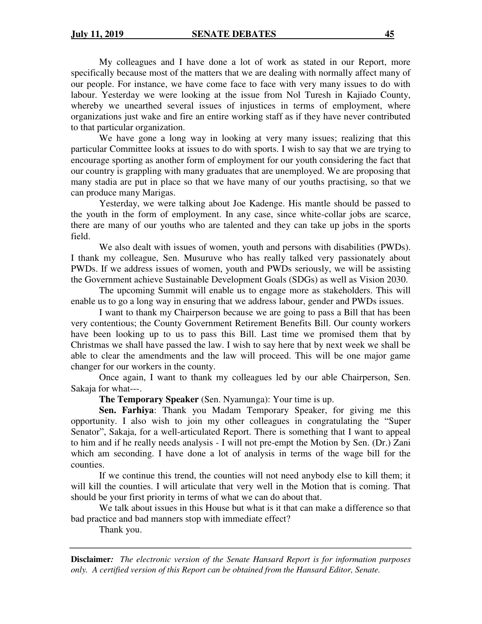My colleagues and I have done a lot of work as stated in our Report, more specifically because most of the matters that we are dealing with normally affect many of our people. For instance, we have come face to face with very many issues to do with labour. Yesterday we were looking at the issue from Nol Turesh in Kajiado County, whereby we unearthed several issues of injustices in terms of employment, where organizations just wake and fire an entire working staff as if they have never contributed to that particular organization.

We have gone a long way in looking at very many issues; realizing that this particular Committee looks at issues to do with sports. I wish to say that we are trying to encourage sporting as another form of employment for our youth considering the fact that our country is grappling with many graduates that are unemployed. We are proposing that many stadia are put in place so that we have many of our youths practising, so that we can produce many Marigas.

Yesterday, we were talking about Joe Kadenge. His mantle should be passed to the youth in the form of employment. In any case, since white-collar jobs are scarce, there are many of our youths who are talented and they can take up jobs in the sports field.

We also dealt with issues of women, youth and persons with disabilities (PWDs). I thank my colleague, Sen. Musuruve who has really talked very passionately about PWDs. If we address issues of women, youth and PWDs seriously, we will be assisting the Government achieve Sustainable Development Goals (SDGs) as well as Vision 2030.

The upcoming Summit will enable us to engage more as stakeholders. This will enable us to go a long way in ensuring that we address labour, gender and PWDs issues.

I want to thank my Chairperson because we are going to pass a Bill that has been very contentious; the County Government Retirement Benefits Bill. Our county workers have been looking up to us to pass this Bill. Last time we promised them that by Christmas we shall have passed the law. I wish to say here that by next week we shall be able to clear the amendments and the law will proceed. This will be one major game changer for our workers in the county.

Once again, I want to thank my colleagues led by our able Chairperson, Sen. Sakaja for what---.

**The Temporary Speaker** (Sen. Nyamunga): Your time is up.

**Sen. Farhiya**: Thank you Madam Temporary Speaker, for giving me this opportunity. I also wish to join my other colleagues in congratulating the "Super Senator", Sakaja, for a well-articulated Report. There is something that I want to appeal to him and if he really needs analysis - I will not pre-empt the Motion by Sen. (Dr.) Zani which am seconding. I have done a lot of analysis in terms of the wage bill for the counties.

If we continue this trend, the counties will not need anybody else to kill them; it will kill the counties. I will articulate that very well in the Motion that is coming. That should be your first priority in terms of what we can do about that.

We talk about issues in this House but what is it that can make a difference so that bad practice and bad manners stop with immediate effect?

Thank you.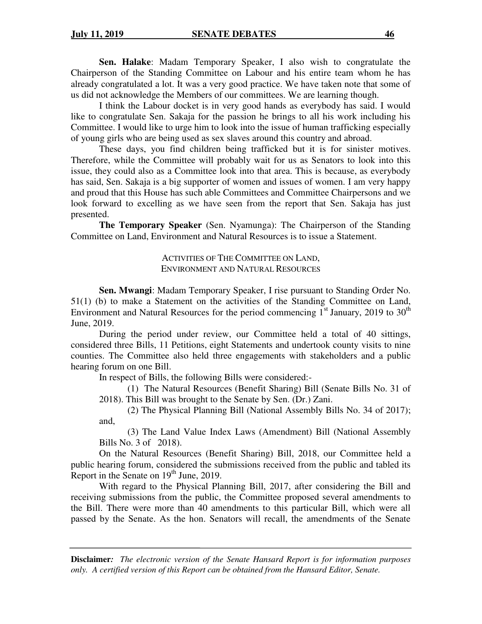**Sen. Halake**: Madam Temporary Speaker, I also wish to congratulate the Chairperson of the Standing Committee on Labour and his entire team whom he has already congratulated a lot. It was a very good practice. We have taken note that some of us did not acknowledge the Members of our committees. We are learning though.

I think the Labour docket is in very good hands as everybody has said. I would like to congratulate Sen. Sakaja for the passion he brings to all his work including his Committee. I would like to urge him to look into the issue of human trafficking especially of young girls who are being used as sex slaves around this country and abroad.

These days, you find children being trafficked but it is for sinister motives. Therefore, while the Committee will probably wait for us as Senators to look into this issue, they could also as a Committee look into that area. This is because, as everybody has said, Sen. Sakaja is a big supporter of women and issues of women. I am very happy and proud that this House has such able Committees and Committee Chairpersons and we look forward to excelling as we have seen from the report that Sen. Sakaja has just presented.

**The Temporary Speaker** (Sen. Nyamunga): The Chairperson of the Standing Committee on Land, Environment and Natural Resources is to issue a Statement.

### ACTIVITIES OF THE COMMITTEE ON LAND, ENVIRONMENT AND NATURAL RESOURCES

**Sen. Mwangi**: Madam Temporary Speaker, I rise pursuant to Standing Order No. 51(1) (b) to make a Statement on the activities of the Standing Committee on Land, Environment and Natural Resources for the period commencing  $1<sup>st</sup>$  January, 2019 to 30<sup>th</sup> June, 2019.

During the period under review, our Committee held a total of 40 sittings, considered three Bills, 11 Petitions, eight Statements and undertook county visits to nine counties. The Committee also held three engagements with stakeholders and a public hearing forum on one Bill.

In respect of Bills, the following Bills were considered:-

(1) The Natural Resources (Benefit Sharing) Bill (Senate Bills No. 31 of 2018). This Bill was brought to the Senate by Sen. (Dr.) Zani.

(2) The Physical Planning Bill (National Assembly Bills No. 34 of 2017); and,

(3) The Land Value Index Laws (Amendment) Bill (National Assembly Bills No. 3 of 2018).

On the Natural Resources (Benefit Sharing) Bill, 2018, our Committee held a public hearing forum, considered the submissions received from the public and tabled its Report in the Senate on 19<sup>th</sup> June, 2019.

 With regard to the Physical Planning Bill, 2017, after considering the Bill and receiving submissions from the public, the Committee proposed several amendments to the Bill. There were more than 40 amendments to this particular Bill, which were all passed by the Senate. As the hon. Senators will recall, the amendments of the Senate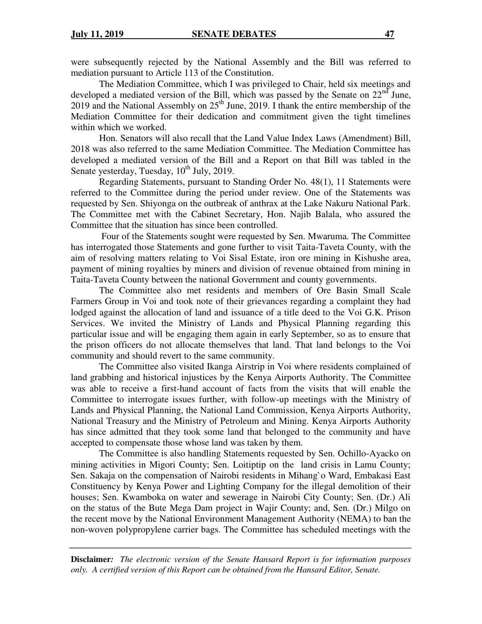were subsequently rejected by the National Assembly and the Bill was referred to mediation pursuant to Article 113 of the Constitution.

The Mediation Committee, which I was privileged to Chair, held six meetings and developed a mediated version of the Bill, which was passed by the Senate on  $22<sup>nd</sup>$  June, 2019 and the National Assembly on  $25<sup>th</sup>$  June, 2019. I thank the entire membership of the Mediation Committee for their dedication and commitment given the tight timelines within which we worked.

Hon. Senators will also recall that the Land Value Index Laws (Amendment) Bill, 2018 was also referred to the same Mediation Committee. The Mediation Committee has developed a mediated version of the Bill and a Report on that Bill was tabled in the Senate yesterday, Tuesday,  $10^{th}$  July, 2019.

Regarding Statements, pursuant to Standing Order No. 48(1), 11 Statements were referred to the Committee during the period under review. One of the Statements was requested by Sen. Shiyonga on the outbreak of anthrax at the Lake Nakuru National Park. The Committee met with the Cabinet Secretary, Hon. Najib Balala, who assured the Committee that the situation has since been controlled.

 Four of the Statements sought were requested by Sen. Mwaruma. The Committee has interrogated those Statements and gone further to visit Taita-Taveta County, with the aim of resolving matters relating to Voi Sisal Estate, iron ore mining in Kishushe area, payment of mining royalties by miners and division of revenue obtained from mining in Taita-Taveta County between the national Government and county governments.

The Committee also met residents and members of Ore Basin Small Scale Farmers Group in Voi and took note of their grievances regarding a complaint they had lodged against the allocation of land and issuance of a title deed to the Voi G.K. Prison Services. We invited the Ministry of Lands and Physical Planning regarding this particular issue and will be engaging them again in early September, so as to ensure that the prison officers do not allocate themselves that land. That land belongs to the Voi community and should revert to the same community.

The Committee also visited Ikanga Airstrip in Voi where residents complained of land grabbing and historical injustices by the Kenya Airports Authority. The Committee was able to receive a first-hand account of facts from the visits that will enable the Committee to interrogate issues further, with follow-up meetings with the Ministry of Lands and Physical Planning, the National Land Commission, Kenya Airports Authority, National Treasury and the Ministry of Petroleum and Mining. Kenya Airports Authority has since admitted that they took some land that belonged to the community and have accepted to compensate those whose land was taken by them.

The Committee is also handling Statements requested by Sen. Ochillo-Ayacko on mining activities in Migori County; Sen. Loitiptip on the land crisis in Lamu County; Sen. Sakaja on the compensation of Nairobi residents in Mihang`o Ward, Embakasi East Constituency by Kenya Power and Lighting Company for the illegal demolition of their houses; Sen. Kwamboka on water and sewerage in Nairobi City County; Sen. (Dr.) Ali on the status of the Bute Mega Dam project in Wajir County; and, Sen. (Dr.) Milgo on the recent move by the National Environment Management Authority (NEMA) to ban the non-woven polypropylene carrier bags. The Committee has scheduled meetings with the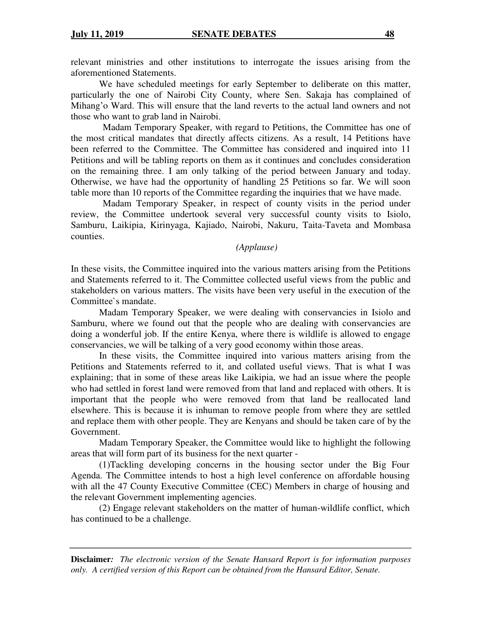relevant ministries and other institutions to interrogate the issues arising from the aforementioned Statements.

We have scheduled meetings for early September to deliberate on this matter, particularly the one of Nairobi City County, where Sen. Sakaja has complained of Mihang'o Ward. This will ensure that the land reverts to the actual land owners and not those who want to grab land in Nairobi.

Madam Temporary Speaker, with regard to Petitions, the Committee has one of the most critical mandates that directly affects citizens. As a result, 14 Petitions have been referred to the Committee. The Committee has considered and inquired into 11 Petitions and will be tabling reports on them as it continues and concludes consideration on the remaining three. I am only talking of the period between January and today. Otherwise, we have had the opportunity of handling 25 Petitions so far. We will soon table more than 10 reports of the Committee regarding the inquiries that we have made.

Madam Temporary Speaker, in respect of county visits in the period under review, the Committee undertook several very successful county visits to Isiolo, Samburu, Laikipia, Kirinyaga, Kajiado, Nairobi, Nakuru, Taita-Taveta and Mombasa counties.

*(Applause)* 

In these visits, the Committee inquired into the various matters arising from the Petitions and Statements referred to it. The Committee collected useful views from the public and stakeholders on various matters. The visits have been very useful in the execution of the Committee`s mandate.

Madam Temporary Speaker, we were dealing with conservancies in Isiolo and Samburu, where we found out that the people who are dealing with conservancies are doing a wonderful job. If the entire Kenya, where there is wildlife is allowed to engage conservancies, we will be talking of a very good economy within those areas.

In these visits, the Committee inquired into various matters arising from the Petitions and Statements referred to it, and collated useful views. That is what I was explaining; that in some of these areas like Laikipia, we had an issue where the people who had settled in forest land were removed from that land and replaced with others. It is important that the people who were removed from that land be reallocated land elsewhere. This is because it is inhuman to remove people from where they are settled and replace them with other people. They are Kenyans and should be taken care of by the Government.

Madam Temporary Speaker, the Committee would like to highlight the following areas that will form part of its business for the next quarter -

(1)Tackling developing concerns in the housing sector under the Big Four Agenda. The Committee intends to host a high level conference on affordable housing with all the 47 County Executive Committee (CEC) Members in charge of housing and the relevant Government implementing agencies.

(2) Engage relevant stakeholders on the matter of human-wildlife conflict, which has continued to be a challenge.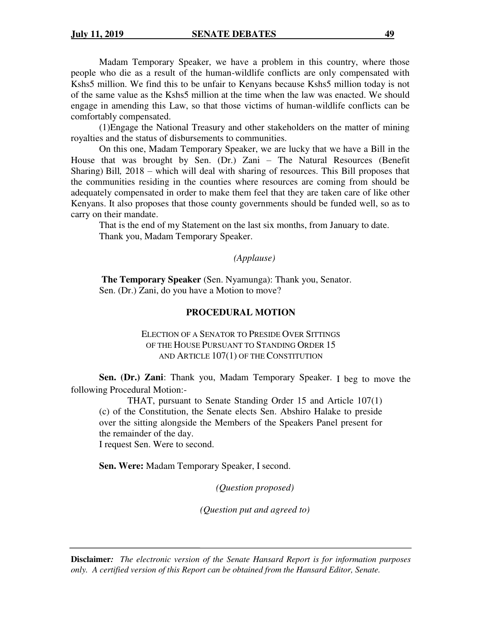Madam Temporary Speaker, we have a problem in this country, where those people who die as a result of the human-wildlife conflicts are only compensated with Kshs5 million. We find this to be unfair to Kenyans because Kshs5 million today is not of the same value as the Kshs5 million at the time when the law was enacted. We should engage in amending this Law, so that those victims of human-wildlife conflicts can be comfortably compensated.

(1)Engage the National Treasury and other stakeholders on the matter of mining royalties and the status of disbursements to communities.

On this one, Madam Temporary Speaker, we are lucky that we have a Bill in the House that was brought by Sen. (Dr.) Zani – The Natural Resources (Benefit Sharing) Bill*,* 2018 – which will deal with sharing of resources. This Bill proposes that the communities residing in the counties where resources are coming from should be adequately compensated in order to make them feel that they are taken care of like other Kenyans. It also proposes that those county governments should be funded well, so as to carry on their mandate.

That is the end of my Statement on the last six months, from January to date. Thank you, Madam Temporary Speaker.

## *(Applause)*

 **The Temporary Speaker** (Sen. Nyamunga): Thank you, Senator. Sen. (Dr.) Zani, do you have a Motion to move?

## **PROCEDURAL MOTION**

## ELECTION OF A SENATOR TO PRESIDE OVER SITTINGS OF THE HOUSE PURSUANT TO STANDING ORDER 15 AND ARTICLE 107(1) OF THE CONSTITUTION

**Sen. (Dr.) Zani**: Thank you, Madam Temporary Speaker. I beg to move the following Procedural Motion:-

THAT, pursuant to Senate Standing Order 15 and Article 107(1) (c) of the Constitution, the Senate elects Sen. Abshiro Halake to preside over the sitting alongside the Members of the Speakers Panel present for the remainder of the day.

I request Sen. Were to second.

**Sen. Were:** Madam Temporary Speaker, I second.

*(Question proposed)* 

*(Question put and agreed to)*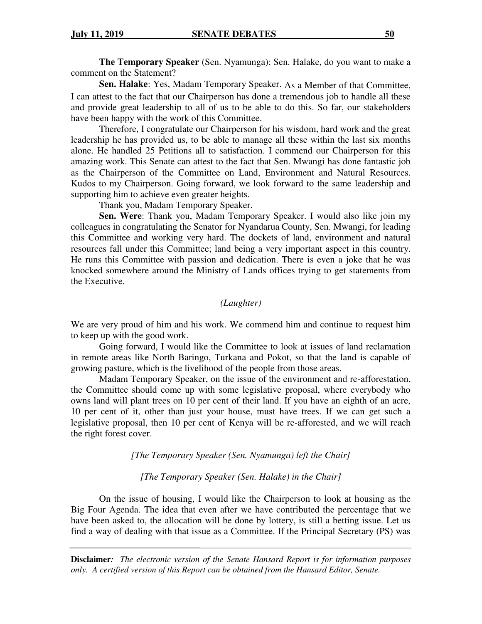**The Temporary Speaker** (Sen. Nyamunga): Sen. Halake, do you want to make a comment on the Statement?

**Sen. Halake**: Yes, Madam Temporary Speaker. As a Member of that Committee, I can attest to the fact that our Chairperson has done a tremendous job to handle all these and provide great leadership to all of us to be able to do this. So far, our stakeholders have been happy with the work of this Committee.

 Therefore, I congratulate our Chairperson for his wisdom, hard work and the great leadership he has provided us, to be able to manage all these within the last six months alone. He handled 25 Petitions all to satisfaction. I commend our Chairperson for this amazing work. This Senate can attest to the fact that Sen. Mwangi has done fantastic job as the Chairperson of the Committee on Land, Environment and Natural Resources. Kudos to my Chairperson. Going forward, we look forward to the same leadership and supporting him to achieve even greater heights.

Thank you, Madam Temporary Speaker.

**Sen. Were**: Thank you, Madam Temporary Speaker. I would also like join my colleagues in congratulating the Senator for Nyandarua County, Sen. Mwangi, for leading this Committee and working very hard. The dockets of land, environment and natural resources fall under this Committee; land being a very important aspect in this country. He runs this Committee with passion and dedication. There is even a joke that he was knocked somewhere around the Ministry of Lands offices trying to get statements from the Executive.

## *(Laughter)*

We are very proud of him and his work. We commend him and continue to request him to keep up with the good work.

 Going forward, I would like the Committee to look at issues of land reclamation in remote areas like North Baringo, Turkana and Pokot, so that the land is capable of growing pasture, which is the livelihood of the people from those areas.

Madam Temporary Speaker, on the issue of the environment and re-afforestation, the Committee should come up with some legislative proposal, where everybody who owns land will plant trees on 10 per cent of their land. If you have an eighth of an acre, 10 per cent of it, other than just your house, must have trees. If we can get such a legislative proposal, then 10 per cent of Kenya will be re-afforested, and we will reach the right forest cover.

*[The Temporary Speaker (Sen. Nyamunga) left the Chair]* 

*[The Temporary Speaker (Sen. Halake) in the Chair]* 

On the issue of housing, I would like the Chairperson to look at housing as the Big Four Agenda. The idea that even after we have contributed the percentage that we have been asked to, the allocation will be done by lottery, is still a betting issue. Let us find a way of dealing with that issue as a Committee. If the Principal Secretary (PS) was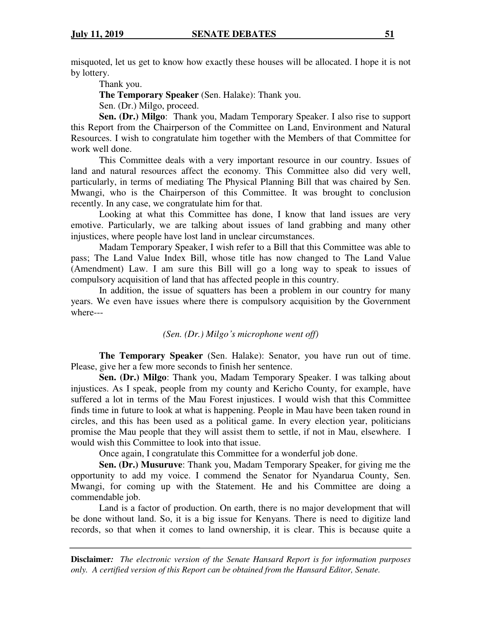misquoted, let us get to know how exactly these houses will be allocated. I hope it is not by lottery.

Thank you.

**The Temporary Speaker** (Sen. Halake): Thank you.

Sen. (Dr.) Milgo, proceed.

**Sen. (Dr.) Milgo**: Thank you, Madam Temporary Speaker. I also rise to support this Report from the Chairperson of the Committee on Land, Environment and Natural Resources. I wish to congratulate him together with the Members of that Committee for work well done.

This Committee deals with a very important resource in our country. Issues of land and natural resources affect the economy. This Committee also did very well, particularly, in terms of mediating The Physical Planning Bill that was chaired by Sen. Mwangi, who is the Chairperson of this Committee. It was brought to conclusion recently. In any case, we congratulate him for that.

Looking at what this Committee has done, I know that land issues are very emotive. Particularly, we are talking about issues of land grabbing and many other injustices, where people have lost land in unclear circumstances.

Madam Temporary Speaker, I wish refer to a Bill that this Committee was able to pass; The Land Value Index Bill, whose title has now changed to The Land Value (Amendment) Law. I am sure this Bill will go a long way to speak to issues of compulsory acquisition of land that has affected people in this country.

In addition, the issue of squatters has been a problem in our country for many years. We even have issues where there is compulsory acquisition by the Government where---

*(Sen. (Dr.) Milgo's microphone went off)*

**The Temporary Speaker** (Sen. Halake): Senator, you have run out of time. Please, give her a few more seconds to finish her sentence.

**Sen. (Dr.) Milgo**: Thank you, Madam Temporary Speaker. I was talking about injustices. As I speak, people from my county and Kericho County, for example, have suffered a lot in terms of the Mau Forest injustices. I would wish that this Committee finds time in future to look at what is happening. People in Mau have been taken round in circles, and this has been used as a political game. In every election year, politicians promise the Mau people that they will assist them to settle, if not in Mau, elsewhere. I would wish this Committee to look into that issue.

Once again, I congratulate this Committee for a wonderful job done.

**Sen. (Dr.) Musuruve**: Thank you, Madam Temporary Speaker, for giving me the opportunity to add my voice. I commend the Senator for Nyandarua County, Sen. Mwangi, for coming up with the Statement. He and his Committee are doing a commendable job.

Land is a factor of production. On earth, there is no major development that will be done without land. So, it is a big issue for Kenyans. There is need to digitize land records, so that when it comes to land ownership, it is clear. This is because quite a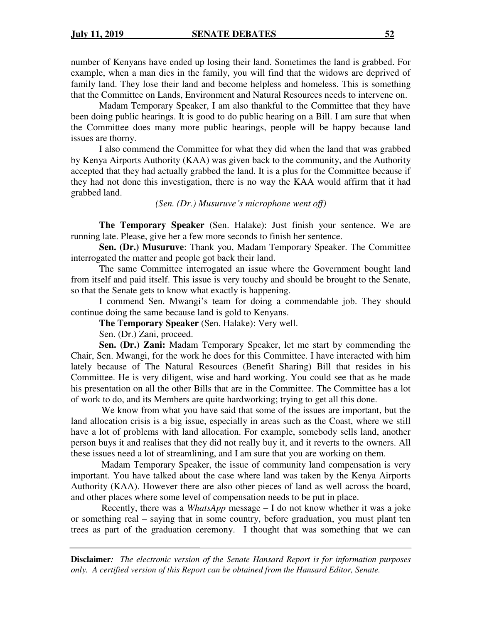number of Kenyans have ended up losing their land. Sometimes the land is grabbed. For example, when a man dies in the family, you will find that the widows are deprived of family land. They lose their land and become helpless and homeless. This is something that the Committee on Lands, Environment and Natural Resources needs to intervene on.

Madam Temporary Speaker, I am also thankful to the Committee that they have been doing public hearings. It is good to do public hearing on a Bill. I am sure that when the Committee does many more public hearings, people will be happy because land issues are thorny.

I also commend the Committee for what they did when the land that was grabbed by Kenya Airports Authority (KAA) was given back to the community, and the Authority accepted that they had actually grabbed the land. It is a plus for the Committee because if they had not done this investigation, there is no way the KAA would affirm that it had grabbed land.

*(Sen. (Dr.) Musuruve's microphone went off)* 

**The Temporary Speaker** (Sen. Halake): Just finish your sentence. We are running late. Please, give her a few more seconds to finish her sentence.

**Sen. (Dr.) Musuruve**: Thank you, Madam Temporary Speaker. The Committee interrogated the matter and people got back their land.

The same Committee interrogated an issue where the Government bought land from itself and paid itself. This issue is very touchy and should be brought to the Senate, so that the Senate gets to know what exactly is happening.

I commend Sen. Mwangi's team for doing a commendable job. They should continue doing the same because land is gold to Kenyans.

**The Temporary Speaker** (Sen. Halake): Very well.

Sen. (Dr.) Zani, proceed.

**Sen. (Dr.) Zani:** Madam Temporary Speaker, let me start by commending the Chair, Sen. Mwangi, for the work he does for this Committee. I have interacted with him lately because of The Natural Resources (Benefit Sharing) Bill that resides in his Committee. He is very diligent, wise and hard working. You could see that as he made his presentation on all the other Bills that are in the Committee. The Committee has a lot of work to do, and its Members are quite hardworking; trying to get all this done.

 We know from what you have said that some of the issues are important, but the land allocation crisis is a big issue, especially in areas such as the Coast, where we still have a lot of problems with land allocation. For example, somebody sells land, another person buys it and realises that they did not really buy it, and it reverts to the owners. All these issues need a lot of streamlining, and I am sure that you are working on them.

 Madam Temporary Speaker, the issue of community land compensation is very important. You have talked about the case where land was taken by the Kenya Airports Authority (KAA). However there are also other pieces of land as well across the board, and other places where some level of compensation needs to be put in place.

 Recently, there was a *WhatsApp* message – I do not know whether it was a joke or something real – saying that in some country, before graduation, you must plant ten trees as part of the graduation ceremony. I thought that was something that we can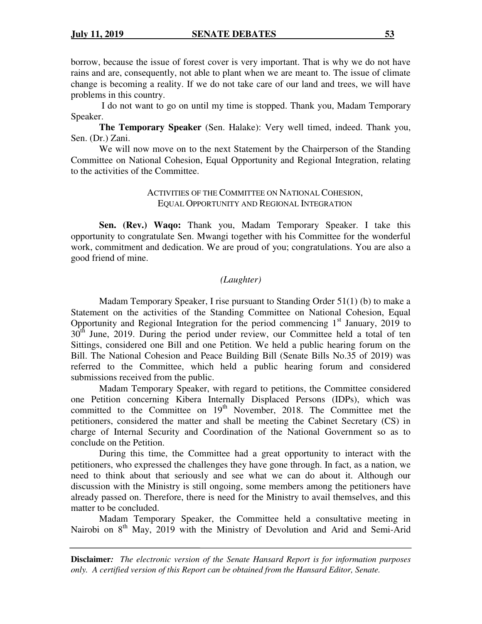borrow, because the issue of forest cover is very important. That is why we do not have rains and are, consequently, not able to plant when we are meant to. The issue of climate change is becoming a reality. If we do not take care of our land and trees, we will have problems in this country.

 I do not want to go on until my time is stopped. Thank you, Madam Temporary Speaker.

**The Temporary Speaker** (Sen. Halake): Very well timed, indeed. Thank you, Sen. (Dr.) Zani.

We will now move on to the next Statement by the Chairperson of the Standing Committee on National Cohesion, Equal Opportunity and Regional Integration, relating to the activities of the Committee.

### ACTIVITIES OF THE COMMITTEE ON NATIONAL COHESION, EQUAL OPPORTUNITY AND REGIONAL INTEGRATION

**Sen. (Rev.) Waqo:** Thank you, Madam Temporary Speaker. I take this opportunity to congratulate Sen. Mwangi together with his Committee for the wonderful work, commitment and dedication. We are proud of you; congratulations. You are also a good friend of mine.

## *(Laughter)*

Madam Temporary Speaker, I rise pursuant to Standing Order 51(1) (b) to make a Statement on the activities of the Standing Committee on National Cohesion, Equal Opportunity and Regional Integration for the period commencing  $1<sup>st</sup>$  January, 2019 to  $30<sup>th</sup>$  June, 2019. During the period under review, our Committee held a total of ten Sittings, considered one Bill and one Petition. We held a public hearing forum on the Bill. The National Cohesion and Peace Building Bill (Senate Bills No.35 of 2019) was referred to the Committee, which held a public hearing forum and considered submissions received from the public.

Madam Temporary Speaker, with regard to petitions, the Committee considered one Petition concerning Kibera Internally Displaced Persons (IDPs), which was committed to the Committee on  $19<sup>th</sup>$  November, 2018. The Committee met the petitioners, considered the matter and shall be meeting the Cabinet Secretary (CS) in charge of Internal Security and Coordination of the National Government so as to conclude on the Petition.

During this time, the Committee had a great opportunity to interact with the petitioners, who expressed the challenges they have gone through. In fact, as a nation, we need to think about that seriously and see what we can do about it. Although our discussion with the Ministry is still ongoing, some members among the petitioners have already passed on. Therefore, there is need for the Ministry to avail themselves, and this matter to be concluded.

Madam Temporary Speaker, the Committee held a consultative meeting in Nairobi on 8<sup>th</sup> May, 2019 with the Ministry of Devolution and Arid and Semi-Arid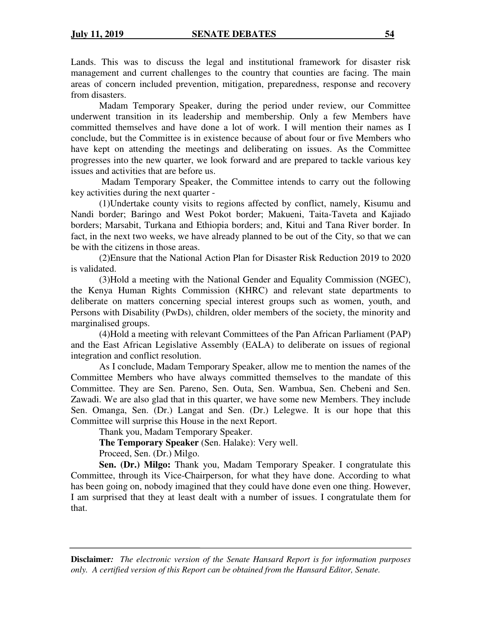Lands. This was to discuss the legal and institutional framework for disaster risk management and current challenges to the country that counties are facing. The main areas of concern included prevention, mitigation, preparedness, response and recovery from disasters.

Madam Temporary Speaker, during the period under review, our Committee underwent transition in its leadership and membership. Only a few Members have committed themselves and have done a lot of work. I will mention their names as I conclude, but the Committee is in existence because of about four or five Members who have kept on attending the meetings and deliberating on issues. As the Committee progresses into the new quarter, we look forward and are prepared to tackle various key issues and activities that are before us.

 Madam Temporary Speaker, the Committee intends to carry out the following key activities during the next quarter -

(1)Undertake county visits to regions affected by conflict, namely, Kisumu and Nandi border; Baringo and West Pokot border; Makueni, Taita-Taveta and Kajiado borders; Marsabit, Turkana and Ethiopia borders; and, Kitui and Tana River border. In fact, in the next two weeks, we have already planned to be out of the City, so that we can be with the citizens in those areas.

(2)Ensure that the National Action Plan for Disaster Risk Reduction 2019 to 2020 is validated.

(3)Hold a meeting with the National Gender and Equality Commission (NGEC), the Kenya Human Rights Commission (KHRC) and relevant state departments to deliberate on matters concerning special interest groups such as women, youth, and Persons with Disability (PwDs), children, older members of the society, the minority and marginalised groups.

(4)Hold a meeting with relevant Committees of the Pan African Parliament (PAP) and the East African Legislative Assembly (EALA) to deliberate on issues of regional integration and conflict resolution.

As I conclude, Madam Temporary Speaker, allow me to mention the names of the Committee Members who have always committed themselves to the mandate of this Committee. They are Sen. Pareno, Sen. Outa, Sen. Wambua, Sen. Chebeni and Sen. Zawadi. We are also glad that in this quarter, we have some new Members. They include Sen. Omanga, Sen. (Dr.) Langat and Sen. (Dr.) Lelegwe. It is our hope that this Committee will surprise this House in the next Report.

Thank you, Madam Temporary Speaker.

**The Temporary Speaker** (Sen. Halake): Very well.

Proceed, Sen. (Dr.) Milgo.

**Sen. (Dr.) Milgo:** Thank you, Madam Temporary Speaker. I congratulate this Committee, through its Vice-Chairperson, for what they have done. According to what has been going on, nobody imagined that they could have done even one thing. However, I am surprised that they at least dealt with a number of issues. I congratulate them for that.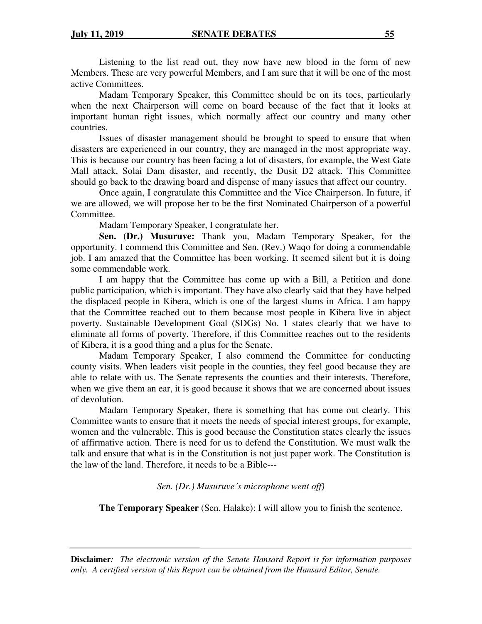Listening to the list read out, they now have new blood in the form of new Members. These are very powerful Members, and I am sure that it will be one of the most active Committees.

Madam Temporary Speaker, this Committee should be on its toes, particularly when the next Chairperson will come on board because of the fact that it looks at important human right issues, which normally affect our country and many other countries.

Issues of disaster management should be brought to speed to ensure that when disasters are experienced in our country, they are managed in the most appropriate way. This is because our country has been facing a lot of disasters, for example, the West Gate Mall attack, Solai Dam disaster, and recently, the Dusit D2 attack. This Committee should go back to the drawing board and dispense of many issues that affect our country.

 Once again, I congratulate this Committee and the Vice Chairperson. In future, if we are allowed, we will propose her to be the first Nominated Chairperson of a powerful Committee.

Madam Temporary Speaker, I congratulate her.

**Sen. (Dr.) Musuruve:** Thank you, Madam Temporary Speaker, for the opportunity. I commend this Committee and Sen. (Rev.) Waqo for doing a commendable job. I am amazed that the Committee has been working. It seemed silent but it is doing some commendable work.

I am happy that the Committee has come up with a Bill, a Petition and done public participation, which is important. They have also clearly said that they have helped the displaced people in Kibera, which is one of the largest slums in Africa. I am happy that the Committee reached out to them because most people in Kibera live in abject poverty. Sustainable Development Goal (SDGs) No. 1 states clearly that we have to eliminate all forms of poverty. Therefore, if this Committee reaches out to the residents of Kibera, it is a good thing and a plus for the Senate.

Madam Temporary Speaker, I also commend the Committee for conducting county visits. When leaders visit people in the counties, they feel good because they are able to relate with us. The Senate represents the counties and their interests. Therefore, when we give them an ear, it is good because it shows that we are concerned about issues of devolution.

Madam Temporary Speaker, there is something that has come out clearly. This Committee wants to ensure that it meets the needs of special interest groups, for example, women and the vulnerable. This is good because the Constitution states clearly the issues of affirmative action. There is need for us to defend the Constitution. We must walk the talk and ensure that what is in the Constitution is not just paper work. The Constitution is the law of the land. Therefore, it needs to be a Bible---

*Sen. (Dr.) Musuruve's microphone went off)* 

**The Temporary Speaker** (Sen. Halake): I will allow you to finish the sentence.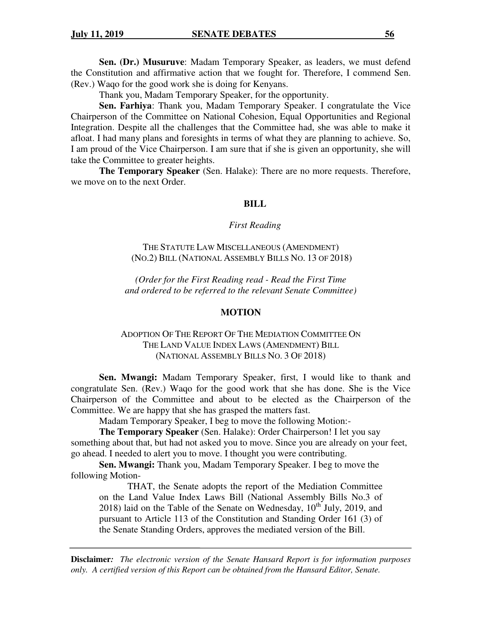**Sen. (Dr.) Musuruve**: Madam Temporary Speaker, as leaders, we must defend the Constitution and affirmative action that we fought for. Therefore, I commend Sen. (Rev.) Waqo for the good work she is doing for Kenyans.

Thank you, Madam Temporary Speaker, for the opportunity.

**Sen. Farhiya**: Thank you, Madam Temporary Speaker. I congratulate the Vice Chairperson of the Committee on National Cohesion, Equal Opportunities and Regional Integration. Despite all the challenges that the Committee had, she was able to make it afloat. I had many plans and foresights in terms of what they are planning to achieve. So, I am proud of the Vice Chairperson. I am sure that if she is given an opportunity, she will take the Committee to greater heights.

**The Temporary Speaker** (Sen. Halake): There are no more requests. Therefore, we move on to the next Order.

#### **BILL**

#### *First Reading*

THE STATUTE LAW MISCELLANEOUS (AMENDMENT) (NO.2) BILL (NATIONAL ASSEMBLY BILLS NO. 13 OF 2018)

*(Order for the First Reading read - Read the First Time and ordered to be referred to the relevant Senate Committee)* 

#### **MOTION**

## ADOPTION OF THE REPORT OF THE MEDIATION COMMITTEE ON THE LAND VALUE INDEX LAWS (AMENDMENT) BILL (NATIONAL ASSEMBLY BILLS NO. 3 OF 2018)

**Sen. Mwangi:** Madam Temporary Speaker, first, I would like to thank and congratulate Sen. (Rev.) Waqo for the good work that she has done. She is the Vice Chairperson of the Committee and about to be elected as the Chairperson of the Committee. We are happy that she has grasped the matters fast.

Madam Temporary Speaker, I beg to move the following Motion:-

**The Temporary Speaker** (Sen. Halake): Order Chairperson! I let you say something about that, but had not asked you to move. Since you are already on your feet, go ahead. I needed to alert you to move. I thought you were contributing.

**Sen. Mwangi:** Thank you, Madam Temporary Speaker. I beg to move the following Motion-

THAT, the Senate adopts the report of the Mediation Committee on the Land Value Index Laws Bill (National Assembly Bills No.3 of 2018) laid on the Table of the Senate on Wednesday,  $10^{th}$  July, 2019, and pursuant to Article 113 of the Constitution and Standing Order 161 (3) of the Senate Standing Orders, approves the mediated version of the Bill.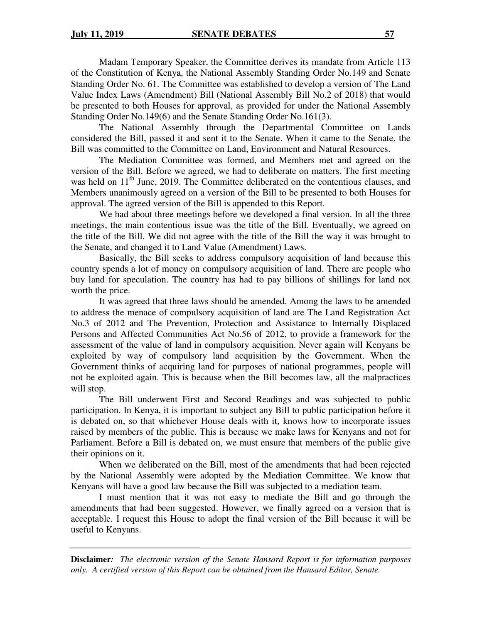Madam Temporary Speaker, the Committee derives its mandate from Article 113 of the Constitution of Kenya, the National Assembly Standing Order No.149 and Senate Standing Order No. 61. The Committee was established to develop a version of The Land Value Index Laws (Amendment) Bill (National Assembly Bill No.2 of 2018) that would be presented to both Houses for approval, as provided for under the National Assembly Standing Order No.149(6) and the Senate Standing Order No.161(3).

The National Assembly through the Departmental Committee on Lands considered the Bill, passed it and sent it to the Senate. When it came to the Senate, the Bill was committed to the Committee on Land, Environment and Natural Resources.

 The Mediation Committee was formed, and Members met and agreed on the version of the Bill. Before we agreed, we had to deliberate on matters. The first meeting was held on 11<sup>th</sup> June, 2019. The Committee deliberated on the contentious clauses, and Members unanimously agreed on a version of the Bill to be presented to both Houses for approval. The agreed version of the Bill is appended to this Report.

We had about three meetings before we developed a final version. In all the three meetings, the main contentious issue was the title of the Bill. Eventually, we agreed on the title of the Bill. We did not agree with the title of the Bill the way it was brought to the Senate, and changed it to Land Value (Amendment) Laws.

Basically, the Bill seeks to address compulsory acquisition of land because this country spends a lot of money on compulsory acquisition of land. There are people who buy land for speculation. The country has had to pay billions of shillings for land not worth the price.

It was agreed that three laws should be amended. Among the laws to be amended to address the menace of compulsory acquisition of land are The Land Registration Act No.3 of 2012 and The Prevention, Protection and Assistance to Internally Displaced Persons and Affected Communities Act No.56 of 2012, to provide a framework for the assessment of the value of land in compulsory acquisition. Never again will Kenyans be exploited by way of compulsory land acquisition by the Government. When the Government thinks of acquiring land for purposes of national programmes, people will not be exploited again. This is because when the Bill becomes law, all the malpractices will stop.

The Bill underwent First and Second Readings and was subjected to public participation. In Kenya, it is important to subject any Bill to public participation before it is debated on, so that whichever House deals with it, knows how to incorporate issues raised by members of the public. This is because we make laws for Kenyans and not for Parliament. Before a Bill is debated on, we must ensure that members of the public give their opinions on it.

When we deliberated on the Bill, most of the amendments that had been rejected by the National Assembly were adopted by the Mediation Committee. We know that Kenyans will have a good law because the Bill was subjected to a mediation team.

I must mention that it was not easy to mediate the Bill and go through the amendments that had been suggested. However, we finally agreed on a version that is acceptable. I request this House to adopt the final version of the Bill because it will be useful to Kenyans.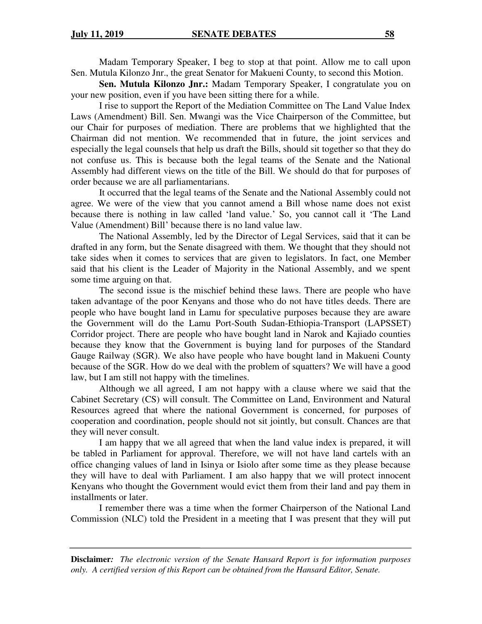Madam Temporary Speaker, I beg to stop at that point. Allow me to call upon Sen. Mutula Kilonzo Jnr., the great Senator for Makueni County, to second this Motion.

**Sen. Mutula Kilonzo Jnr.:** Madam Temporary Speaker, I congratulate you on your new position, even if you have been sitting there for a while.

I rise to support the Report of the Mediation Committee on The Land Value Index Laws (Amendment) Bill. Sen. Mwangi was the Vice Chairperson of the Committee, but our Chair for purposes of mediation. There are problems that we highlighted that the Chairman did not mention. We recommended that in future, the joint services and especially the legal counsels that help us draft the Bills, should sit together so that they do not confuse us. This is because both the legal teams of the Senate and the National Assembly had different views on the title of the Bill. We should do that for purposes of order because we are all parliamentarians.

It occurred that the legal teams of the Senate and the National Assembly could not agree. We were of the view that you cannot amend a Bill whose name does not exist because there is nothing in law called 'land value.' So, you cannot call it 'The Land Value (Amendment) Bill' because there is no land value law.

The National Assembly, led by the Director of Legal Services, said that it can be drafted in any form, but the Senate disagreed with them. We thought that they should not take sides when it comes to services that are given to legislators. In fact, one Member said that his client is the Leader of Majority in the National Assembly, and we spent some time arguing on that.

The second issue is the mischief behind these laws. There are people who have taken advantage of the poor Kenyans and those who do not have titles deeds. There are people who have bought land in Lamu for speculative purposes because they are aware the Government will do the Lamu Port-South Sudan-Ethiopia-Transport (LAPSSET) Corridor project. There are people who have bought land in Narok and Kajiado counties because they know that the Government is buying land for purposes of the Standard Gauge Railway (SGR). We also have people who have bought land in Makueni County because of the SGR. How do we deal with the problem of squatters? We will have a good law, but I am still not happy with the timelines.

Although we all agreed, I am not happy with a clause where we said that the Cabinet Secretary (CS) will consult. The Committee on Land, Environment and Natural Resources agreed that where the national Government is concerned, for purposes of cooperation and coordination, people should not sit jointly, but consult. Chances are that they will never consult.

I am happy that we all agreed that when the land value index is prepared, it will be tabled in Parliament for approval. Therefore, we will not have land cartels with an office changing values of land in Isinya or Isiolo after some time as they please because they will have to deal with Parliament. I am also happy that we will protect innocent Kenyans who thought the Government would evict them from their land and pay them in installments or later.

I remember there was a time when the former Chairperson of the National Land Commission (NLC) told the President in a meeting that I was present that they will put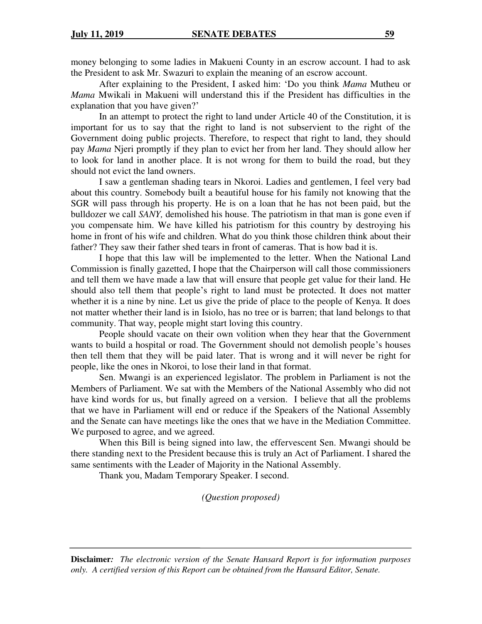money belonging to some ladies in Makueni County in an escrow account. I had to ask the President to ask Mr. Swazuri to explain the meaning of an escrow account.

After explaining to the President, I asked him: 'Do you think *Mama* Mutheu or *Mama* Mwikali in Makueni will understand this if the President has difficulties in the explanation that you have given?'

In an attempt to protect the right to land under Article 40 of the Constitution, it is important for us to say that the right to land is not subservient to the right of the Government doing public projects. Therefore, to respect that right to land, they should pay *Mama* Njeri promptly if they plan to evict her from her land. They should allow her to look for land in another place. It is not wrong for them to build the road, but they should not evict the land owners.

I saw a gentleman shading tears in Nkoroi. Ladies and gentlemen, I feel very bad about this country. Somebody built a beautiful house for his family not knowing that the SGR will pass through his property. He is on a loan that he has not been paid, but the bulldozer we call *SANY,* demolished his house. The patriotism in that man is gone even if you compensate him. We have killed his patriotism for this country by destroying his home in front of his wife and children. What do you think those children think about their father? They saw their father shed tears in front of cameras. That is how bad it is.

I hope that this law will be implemented to the letter. When the National Land Commission is finally gazetted, I hope that the Chairperson will call those commissioners and tell them we have made a law that will ensure that people get value for their land. He should also tell them that people's right to land must be protected. It does not matter whether it is a nine by nine. Let us give the pride of place to the people of Kenya. It does not matter whether their land is in Isiolo, has no tree or is barren; that land belongs to that community. That way, people might start loving this country.

People should vacate on their own volition when they hear that the Government wants to build a hospital or road. The Government should not demolish people's houses then tell them that they will be paid later. That is wrong and it will never be right for people, like the ones in Nkoroi, to lose their land in that format.

Sen. Mwangi is an experienced legislator. The problem in Parliament is not the Members of Parliament. We sat with the Members of the National Assembly who did not have kind words for us, but finally agreed on a version. I believe that all the problems that we have in Parliament will end or reduce if the Speakers of the National Assembly and the Senate can have meetings like the ones that we have in the Mediation Committee. We purposed to agree, and we agreed.

When this Bill is being signed into law, the effervescent Sen. Mwangi should be there standing next to the President because this is truly an Act of Parliament. I shared the same sentiments with the Leader of Majority in the National Assembly.

Thank you, Madam Temporary Speaker. I second.

*(Question proposed)*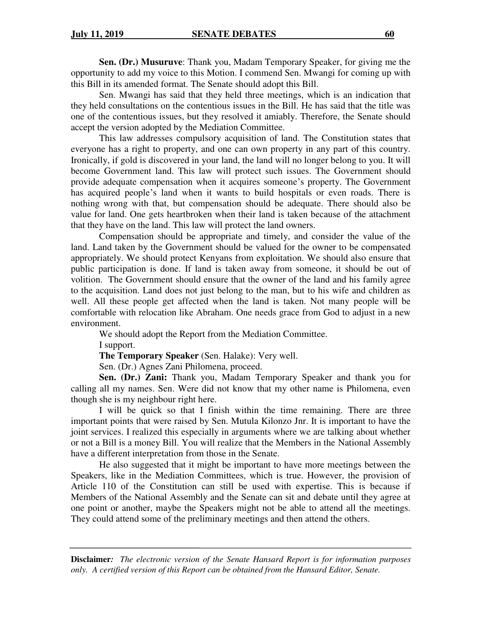**Sen. (Dr.) Musuruve**: Thank you, Madam Temporary Speaker, for giving me the opportunity to add my voice to this Motion. I commend Sen. Mwangi for coming up with this Bill in its amended format. The Senate should adopt this Bill.

Sen. Mwangi has said that they held three meetings, which is an indication that they held consultations on the contentious issues in the Bill. He has said that the title was one of the contentious issues, but they resolved it amiably. Therefore, the Senate should accept the version adopted by the Mediation Committee.

This law addresses compulsory acquisition of land. The Constitution states that everyone has a right to property, and one can own property in any part of this country. Ironically, if gold is discovered in your land, the land will no longer belong to you. It will become Government land. This law will protect such issues. The Government should provide adequate compensation when it acquires someone's property. The Government has acquired people's land when it wants to build hospitals or even roads. There is nothing wrong with that, but compensation should be adequate. There should also be value for land. One gets heartbroken when their land is taken because of the attachment that they have on the land. This law will protect the land owners.

Compensation should be appropriate and timely, and consider the value of the land. Land taken by the Government should be valued for the owner to be compensated appropriately. We should protect Kenyans from exploitation. We should also ensure that public participation is done. If land is taken away from someone, it should be out of volition. The Government should ensure that the owner of the land and his family agree to the acquisition. Land does not just belong to the man, but to his wife and children as well. All these people get affected when the land is taken. Not many people will be comfortable with relocation like Abraham. One needs grace from God to adjust in a new environment.

We should adopt the Report from the Mediation Committee.

I support.

**The Temporary Speaker** (Sen. Halake): Very well.

Sen. (Dr.) Agnes Zani Philomena, proceed.

**Sen. (Dr.) Zani:** Thank you, Madam Temporary Speaker and thank you for calling all my names. Sen. Were did not know that my other name is Philomena, even though she is my neighbour right here.

I will be quick so that I finish within the time remaining. There are three important points that were raised by Sen. Mutula Kilonzo Jnr. It is important to have the joint services. I realized this especially in arguments where we are talking about whether or not a Bill is a money Bill. You will realize that the Members in the National Assembly have a different interpretation from those in the Senate.

He also suggested that it might be important to have more meetings between the Speakers, like in the Mediation Committees, which is true. However, the provision of Article 110 of the Constitution can still be used with expertise. This is because if Members of the National Assembly and the Senate can sit and debate until they agree at one point or another, maybe the Speakers might not be able to attend all the meetings. They could attend some of the preliminary meetings and then attend the others.